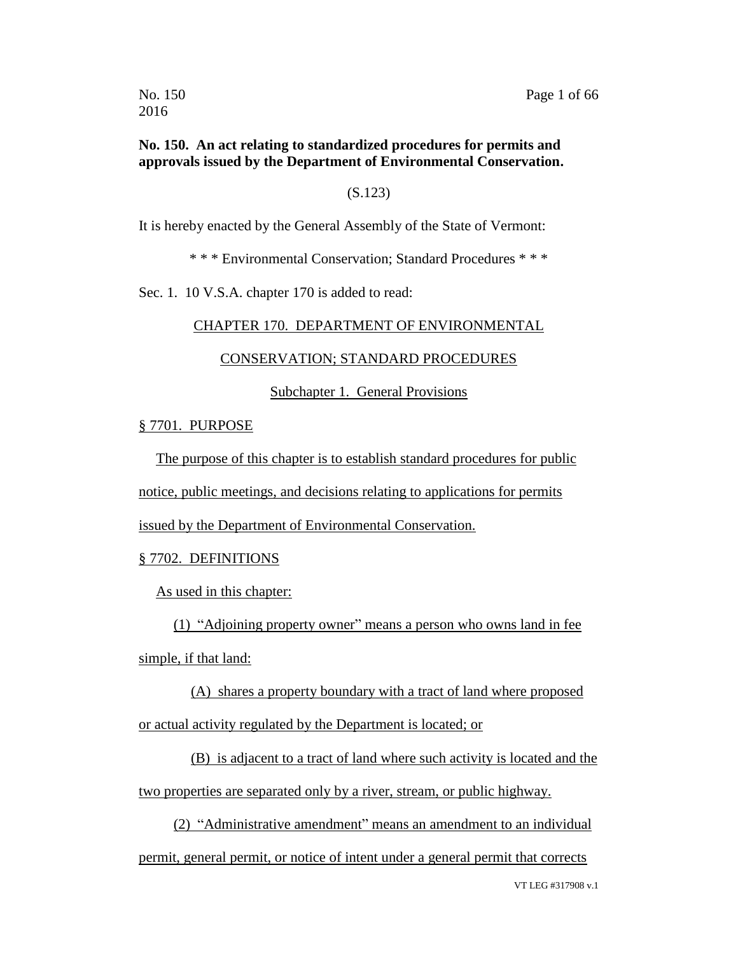### **No. 150. An act relating to standardized procedures for permits and approvals issued by the Department of Environmental Conservation.**

### (S.123)

It is hereby enacted by the General Assembly of the State of Vermont:

\* \* \* Environmental Conservation; Standard Procedures \* \* \*

Sec. 1. 10 V.S.A. chapter 170 is added to read:

### CHAPTER 170. DEPARTMENT OF ENVIRONMENTAL

### CONSERVATION; STANDARD PROCEDURES

Subchapter 1. General Provisions

### § 7701. PURPOSE

The purpose of this chapter is to establish standard procedures for public

notice, public meetings, and decisions relating to applications for permits

issued by the Department of Environmental Conservation.

### § 7702. DEFINITIONS

As used in this chapter:

(1) "Adjoining property owner" means a person who owns land in fee simple, if that land:

(A) shares a property boundary with a tract of land where proposed or actual activity regulated by the Department is located; or

(B) is adjacent to a tract of land where such activity is located and the two properties are separated only by a river, stream, or public highway.

(2) "Administrative amendment" means an amendment to an individual permit, general permit, or notice of intent under a general permit that corrects

VT LEG #317908 v.1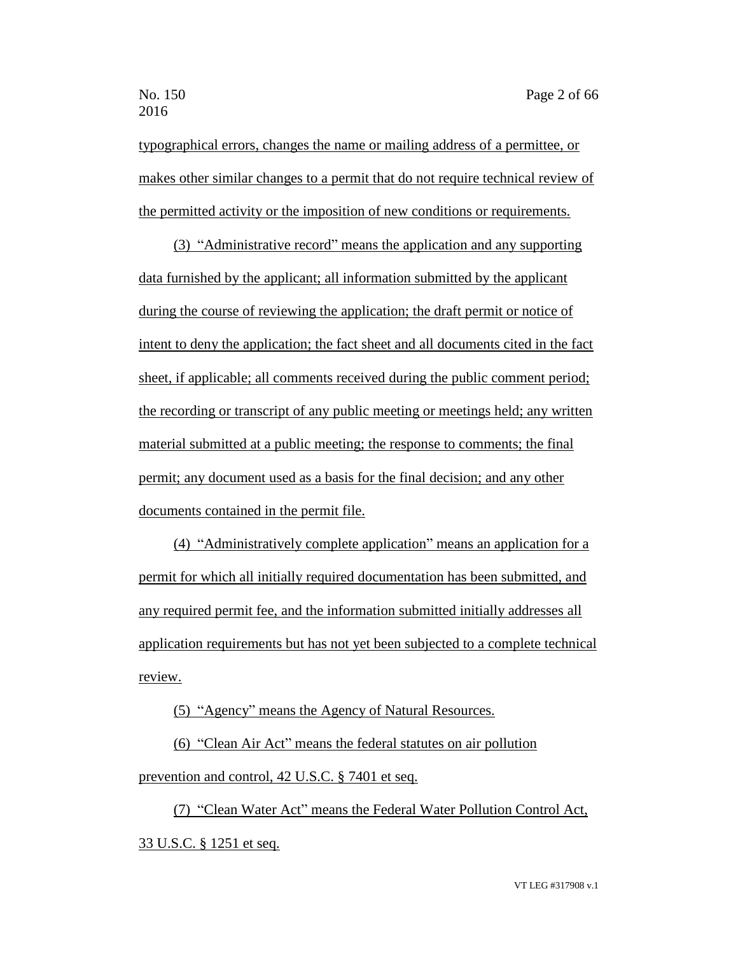typographical errors, changes the name or mailing address of a permittee, or makes other similar changes to a permit that do not require technical review of the permitted activity or the imposition of new conditions or requirements.

(3) "Administrative record" means the application and any supporting data furnished by the applicant; all information submitted by the applicant during the course of reviewing the application; the draft permit or notice of intent to deny the application; the fact sheet and all documents cited in the fact sheet, if applicable; all comments received during the public comment period; the recording or transcript of any public meeting or meetings held; any written material submitted at a public meeting; the response to comments; the final permit; any document used as a basis for the final decision; and any other documents contained in the permit file.

(4) "Administratively complete application" means an application for a permit for which all initially required documentation has been submitted, and any required permit fee, and the information submitted initially addresses all application requirements but has not yet been subjected to a complete technical review.

(5) "Agency" means the Agency of Natural Resources.

(6) "Clean Air Act" means the federal statutes on air pollution prevention and control, 42 U.S.C. § 7401 et seq.

(7) "Clean Water Act" means the Federal Water Pollution Control Act, 33 U.S.C. § 1251 et seq.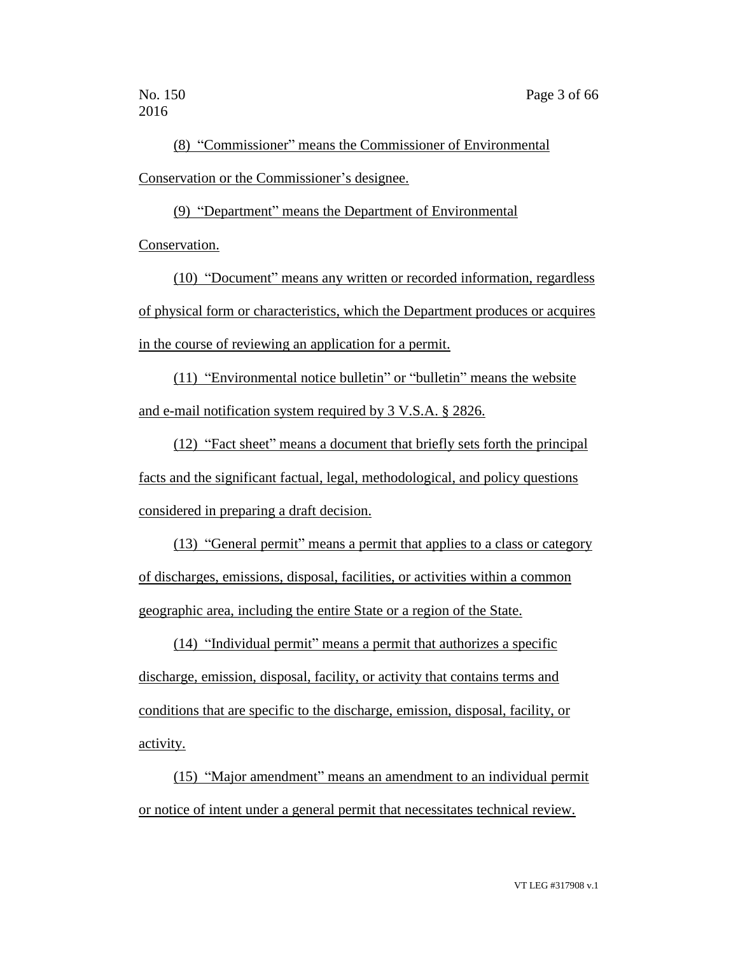(8) "Commissioner" means the Commissioner of Environmental Conservation or the Commissioner's designee.

(9) "Department" means the Department of Environmental Conservation.

(10) "Document" means any written or recorded information, regardless of physical form or characteristics, which the Department produces or acquires in the course of reviewing an application for a permit.

(11) "Environmental notice bulletin" or "bulletin" means the website and e-mail notification system required by 3 V.S.A. § 2826.

(12) "Fact sheet" means a document that briefly sets forth the principal facts and the significant factual, legal, methodological, and policy questions considered in preparing a draft decision.

(13) "General permit" means a permit that applies to a class or category of discharges, emissions, disposal, facilities, or activities within a common geographic area, including the entire State or a region of the State.

(14) "Individual permit" means a permit that authorizes a specific discharge, emission, disposal, facility, or activity that contains terms and conditions that are specific to the discharge, emission, disposal, facility, or activity.

(15) "Major amendment" means an amendment to an individual permit or notice of intent under a general permit that necessitates technical review.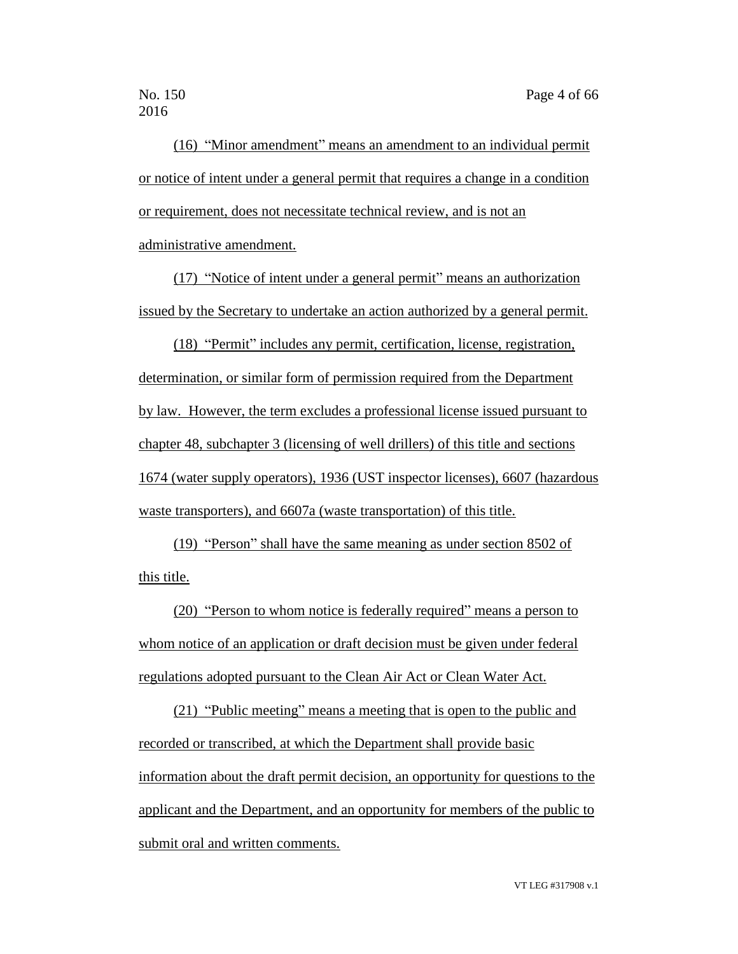(16) "Minor amendment" means an amendment to an individual permit or notice of intent under a general permit that requires a change in a condition or requirement, does not necessitate technical review, and is not an administrative amendment.

(17) "Notice of intent under a general permit" means an authorization issued by the Secretary to undertake an action authorized by a general permit.

(18) "Permit" includes any permit, certification, license, registration, determination, or similar form of permission required from the Department by law. However, the term excludes a professional license issued pursuant to chapter 48, subchapter 3 (licensing of well drillers) of this title and sections 1674 (water supply operators), 1936 (UST inspector licenses), 6607 (hazardous waste transporters), and 6607a (waste transportation) of this title.

(19) "Person" shall have the same meaning as under section 8502 of this title.

(20) "Person to whom notice is federally required" means a person to whom notice of an application or draft decision must be given under federal regulations adopted pursuant to the Clean Air Act or Clean Water Act.

(21) "Public meeting" means a meeting that is open to the public and recorded or transcribed, at which the Department shall provide basic information about the draft permit decision, an opportunity for questions to the applicant and the Department, and an opportunity for members of the public to submit oral and written comments.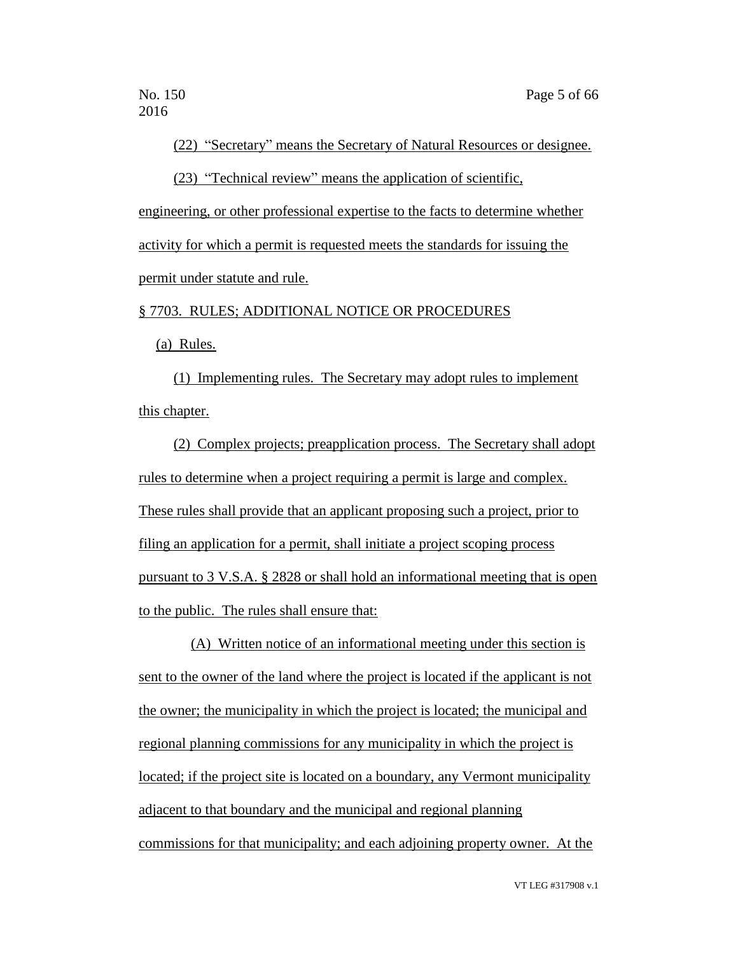(22) "Secretary" means the Secretary of Natural Resources or designee.

(23) "Technical review" means the application of scientific,

engineering, or other professional expertise to the facts to determine whether activity for which a permit is requested meets the standards for issuing the permit under statute and rule.

§ 7703. RULES; ADDITIONAL NOTICE OR PROCEDURES

(a) Rules.

(1) Implementing rules. The Secretary may adopt rules to implement this chapter.

(2) Complex projects; preapplication process. The Secretary shall adopt rules to determine when a project requiring a permit is large and complex. These rules shall provide that an applicant proposing such a project, prior to filing an application for a permit, shall initiate a project scoping process pursuant to 3 V.S.A. § 2828 or shall hold an informational meeting that is open to the public. The rules shall ensure that:

(A) Written notice of an informational meeting under this section is sent to the owner of the land where the project is located if the applicant is not the owner; the municipality in which the project is located; the municipal and regional planning commissions for any municipality in which the project is located; if the project site is located on a boundary, any Vermont municipality adjacent to that boundary and the municipal and regional planning commissions for that municipality; and each adjoining property owner. At the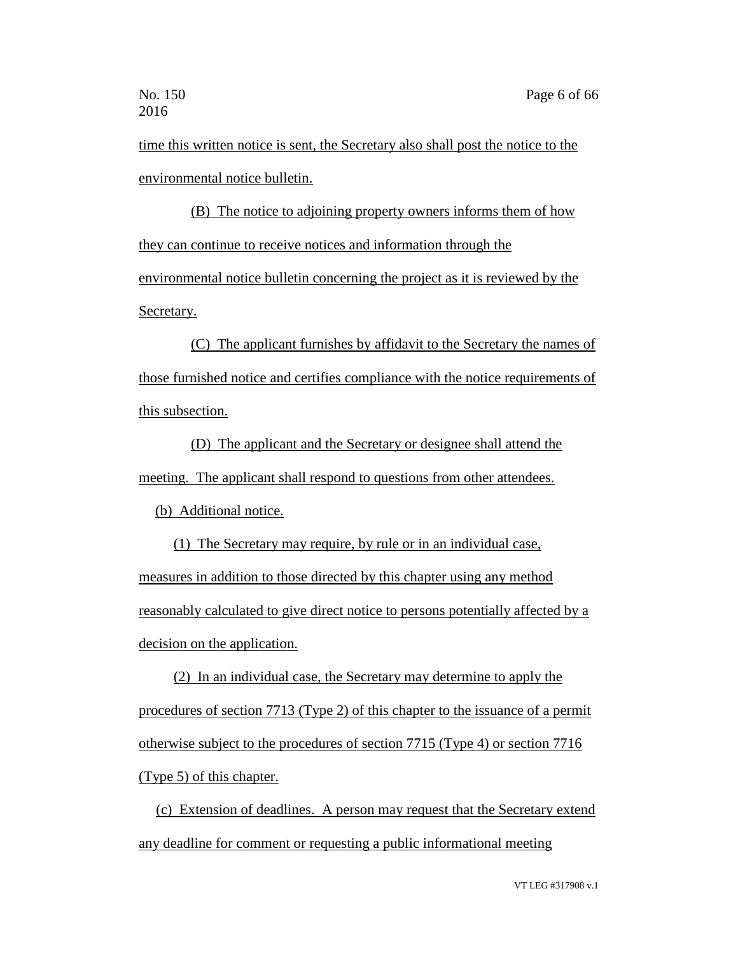time this written notice is sent, the Secretary also shall post the notice to the environmental notice bulletin.

(B) The notice to adjoining property owners informs them of how they can continue to receive notices and information through the environmental notice bulletin concerning the project as it is reviewed by the Secretary.

(C) The applicant furnishes by affidavit to the Secretary the names of those furnished notice and certifies compliance with the notice requirements of this subsection.

(D) The applicant and the Secretary or designee shall attend the meeting. The applicant shall respond to questions from other attendees.

(b) Additional notice.

(1) The Secretary may require, by rule or in an individual case, measures in addition to those directed by this chapter using any method reasonably calculated to give direct notice to persons potentially affected by a decision on the application.

(2) In an individual case, the Secretary may determine to apply the procedures of section 7713 (Type 2) of this chapter to the issuance of a permit otherwise subject to the procedures of section 7715 (Type 4) or section 7716 (Type 5) of this chapter.

(c) Extension of deadlines. A person may request that the Secretary extend any deadline for comment or requesting a public informational meeting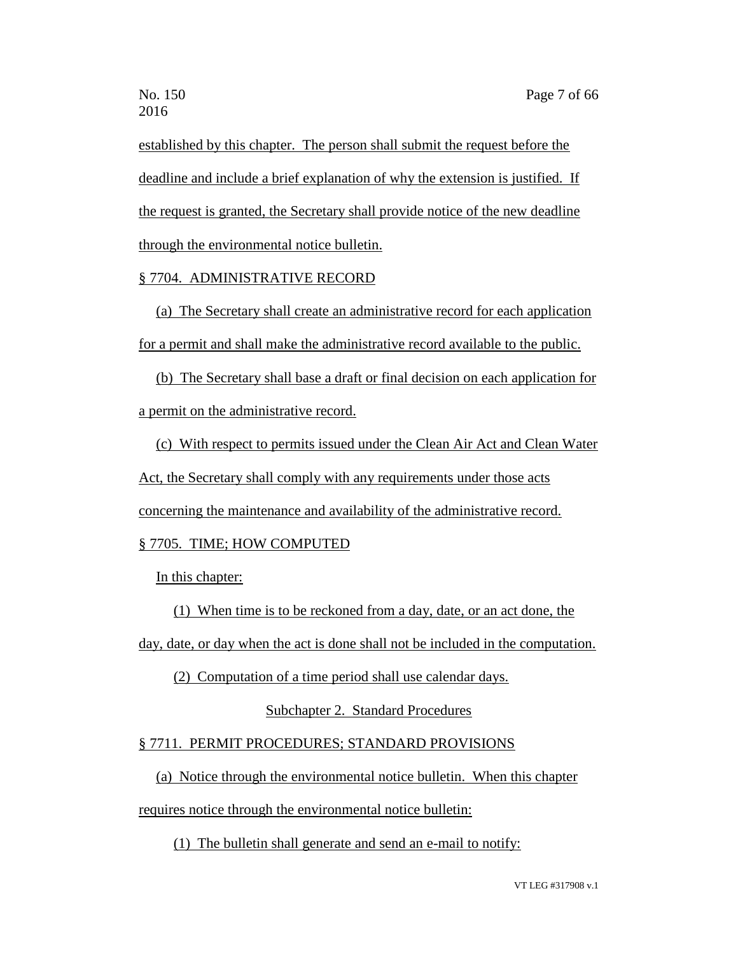established by this chapter. The person shall submit the request before the deadline and include a brief explanation of why the extension is justified. If the request is granted, the Secretary shall provide notice of the new deadline through the environmental notice bulletin.

## § 7704. ADMINISTRATIVE RECORD

(a) The Secretary shall create an administrative record for each application for a permit and shall make the administrative record available to the public.

(b) The Secretary shall base a draft or final decision on each application for a permit on the administrative record.

(c) With respect to permits issued under the Clean Air Act and Clean Water Act, the Secretary shall comply with any requirements under those acts concerning the maintenance and availability of the administrative record.

# § 7705. TIME; HOW COMPUTED

In this chapter:

(1) When time is to be reckoned from a day, date, or an act done, the

day, date, or day when the act is done shall not be included in the computation.

(2) Computation of a time period shall use calendar days.

Subchapter 2. Standard Procedures

## § 7711. PERMIT PROCEDURES; STANDARD PROVISIONS

(a) Notice through the environmental notice bulletin. When this chapter

requires notice through the environmental notice bulletin:

(1) The bulletin shall generate and send an e-mail to notify: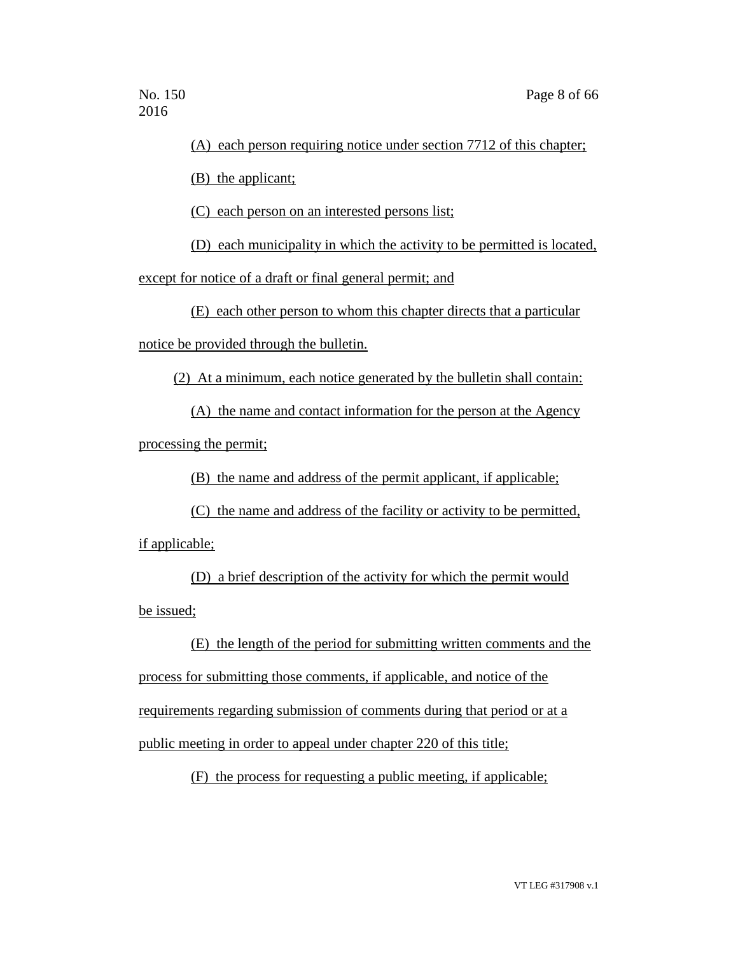### (A) each person requiring notice under section 7712 of this chapter;

(B) the applicant;

(C) each person on an interested persons list;

(D) each municipality in which the activity to be permitted is located,

except for notice of a draft or final general permit; and

(E) each other person to whom this chapter directs that a particular

notice be provided through the bulletin.

(2) At a minimum, each notice generated by the bulletin shall contain:

(A) the name and contact information for the person at the Agency processing the permit;

(B) the name and address of the permit applicant, if applicable;

(C) the name and address of the facility or activity to be permitted, if applicable;

(D) a brief description of the activity for which the permit would be issued;

(E) the length of the period for submitting written comments and the process for submitting those comments, if applicable, and notice of the requirements regarding submission of comments during that period or at a public meeting in order to appeal under chapter 220 of this title;

(F) the process for requesting a public meeting, if applicable;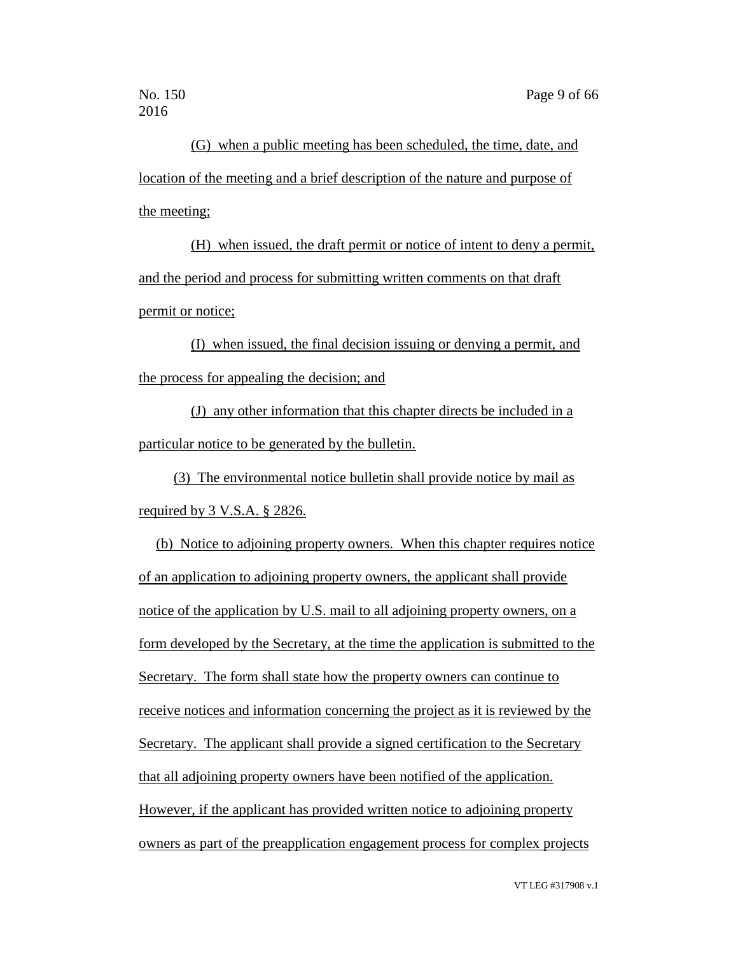(G) when a public meeting has been scheduled, the time, date, and location of the meeting and a brief description of the nature and purpose of the meeting;

(H) when issued, the draft permit or notice of intent to deny a permit, and the period and process for submitting written comments on that draft permit or notice;

(I) when issued, the final decision issuing or denying a permit, and the process for appealing the decision; and

(J) any other information that this chapter directs be included in a particular notice to be generated by the bulletin.

(3) The environmental notice bulletin shall provide notice by mail as required by 3 V.S.A. § 2826.

(b) Notice to adjoining property owners. When this chapter requires notice of an application to adjoining property owners, the applicant shall provide notice of the application by U.S. mail to all adjoining property owners, on a form developed by the Secretary, at the time the application is submitted to the Secretary. The form shall state how the property owners can continue to receive notices and information concerning the project as it is reviewed by the Secretary. The applicant shall provide a signed certification to the Secretary that all adjoining property owners have been notified of the application. However, if the applicant has provided written notice to adjoining property owners as part of the preapplication engagement process for complex projects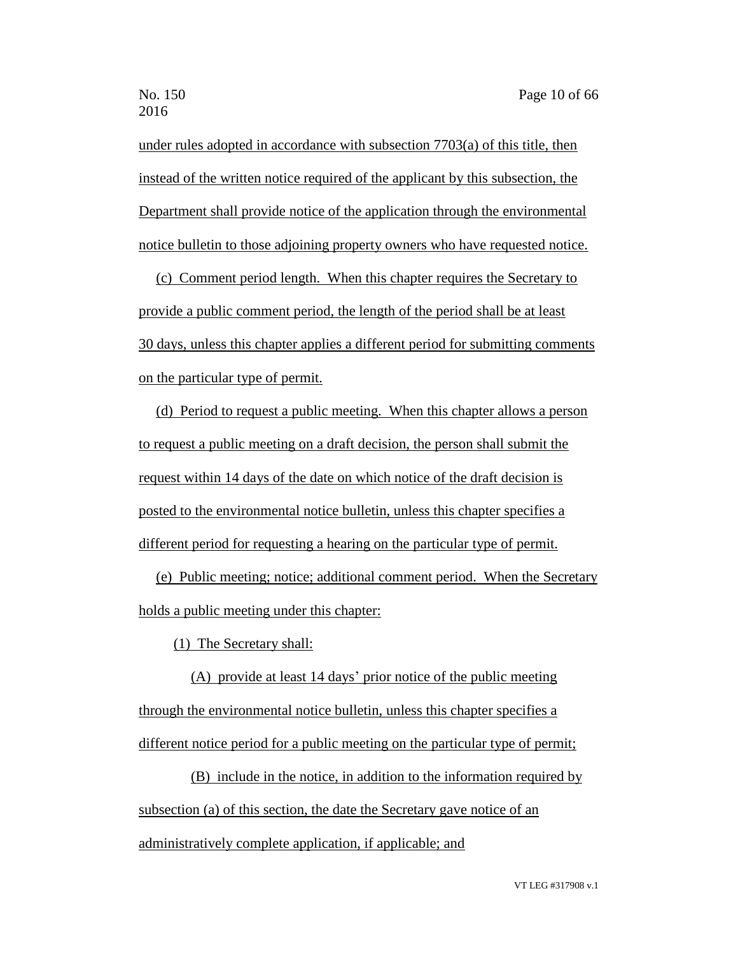under rules adopted in accordance with subsection 7703(a) of this title, then instead of the written notice required of the applicant by this subsection, the Department shall provide notice of the application through the environmental notice bulletin to those adjoining property owners who have requested notice.

(c) Comment period length. When this chapter requires the Secretary to provide a public comment period, the length of the period shall be at least 30 days, unless this chapter applies a different period for submitting comments on the particular type of permit.

(d) Period to request a public meeting. When this chapter allows a person to request a public meeting on a draft decision, the person shall submit the request within 14 days of the date on which notice of the draft decision is posted to the environmental notice bulletin, unless this chapter specifies a different period for requesting a hearing on the particular type of permit.

(e) Public meeting; notice; additional comment period. When the Secretary holds a public meeting under this chapter:

(1) The Secretary shall:

(A) provide at least 14 days' prior notice of the public meeting through the environmental notice bulletin, unless this chapter specifies a different notice period for a public meeting on the particular type of permit;

(B) include in the notice, in addition to the information required by subsection (a) of this section, the date the Secretary gave notice of an administratively complete application, if applicable; and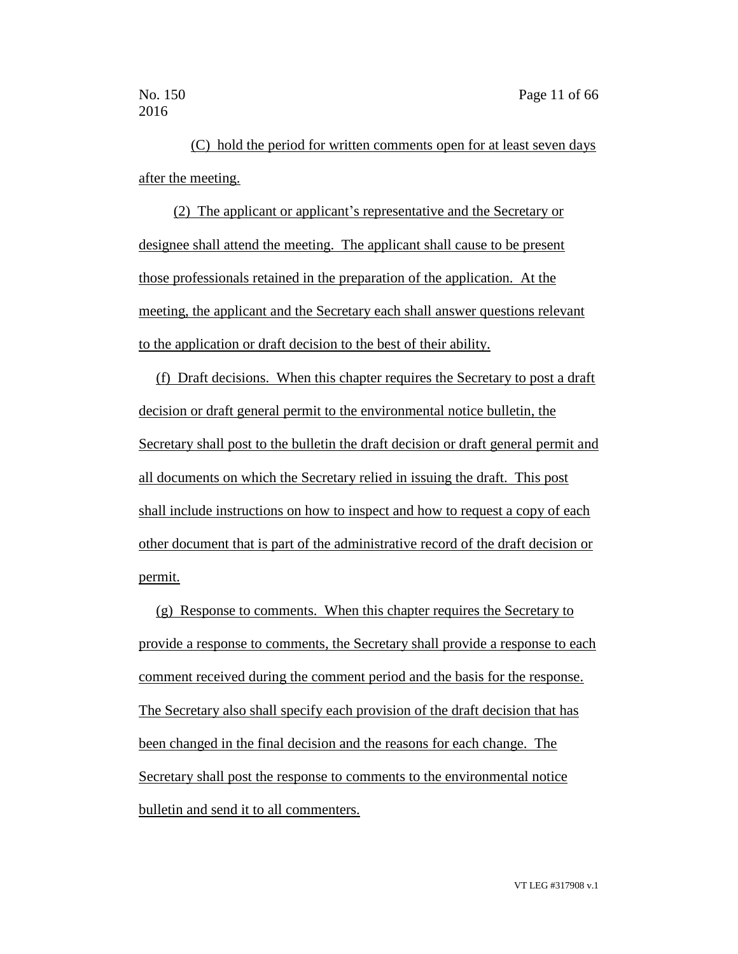(C) hold the period for written comments open for at least seven days after the meeting.

(2) The applicant or applicant's representative and the Secretary or designee shall attend the meeting. The applicant shall cause to be present those professionals retained in the preparation of the application. At the meeting, the applicant and the Secretary each shall answer questions relevant to the application or draft decision to the best of their ability.

(f) Draft decisions. When this chapter requires the Secretary to post a draft decision or draft general permit to the environmental notice bulletin, the Secretary shall post to the bulletin the draft decision or draft general permit and all documents on which the Secretary relied in issuing the draft. This post shall include instructions on how to inspect and how to request a copy of each other document that is part of the administrative record of the draft decision or permit.

(g) Response to comments. When this chapter requires the Secretary to provide a response to comments, the Secretary shall provide a response to each comment received during the comment period and the basis for the response. The Secretary also shall specify each provision of the draft decision that has been changed in the final decision and the reasons for each change. The Secretary shall post the response to comments to the environmental notice bulletin and send it to all commenters.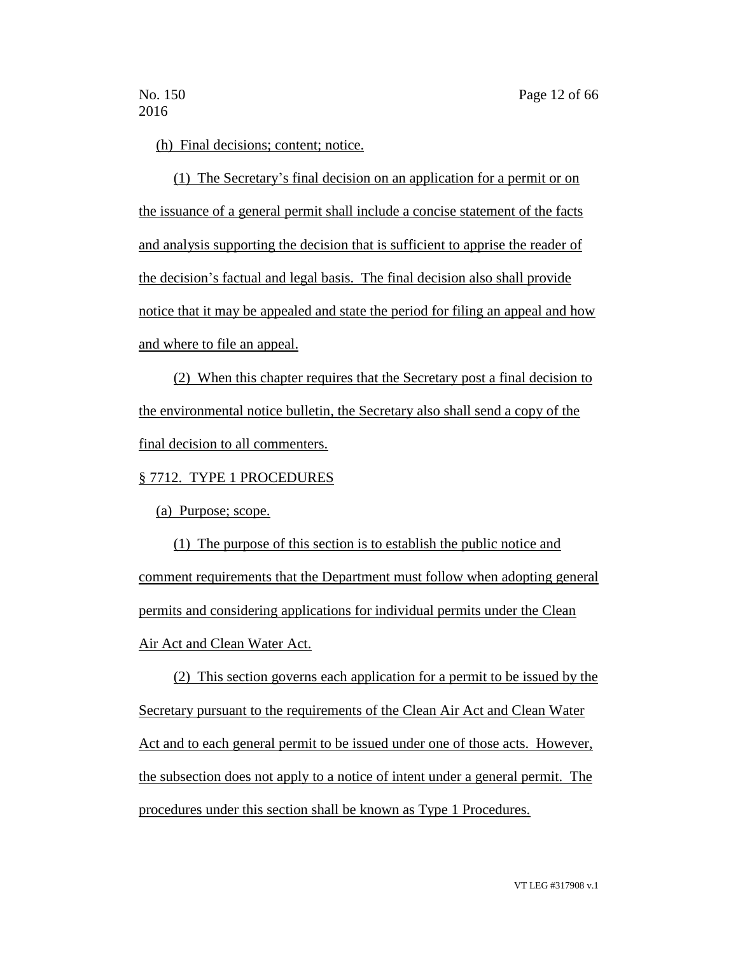(h) Final decisions; content; notice.

(1) The Secretary's final decision on an application for a permit or on the issuance of a general permit shall include a concise statement of the facts and analysis supporting the decision that is sufficient to apprise the reader of the decision's factual and legal basis. The final decision also shall provide notice that it may be appealed and state the period for filing an appeal and how and where to file an appeal.

(2) When this chapter requires that the Secretary post a final decision to the environmental notice bulletin, the Secretary also shall send a copy of the final decision to all commenters.

§ 7712. TYPE 1 PROCEDURES

(a) Purpose; scope.

(1) The purpose of this section is to establish the public notice and comment requirements that the Department must follow when adopting general permits and considering applications for individual permits under the Clean Air Act and Clean Water Act.

(2) This section governs each application for a permit to be issued by the Secretary pursuant to the requirements of the Clean Air Act and Clean Water Act and to each general permit to be issued under one of those acts. However, the subsection does not apply to a notice of intent under a general permit. The procedures under this section shall be known as Type 1 Procedures.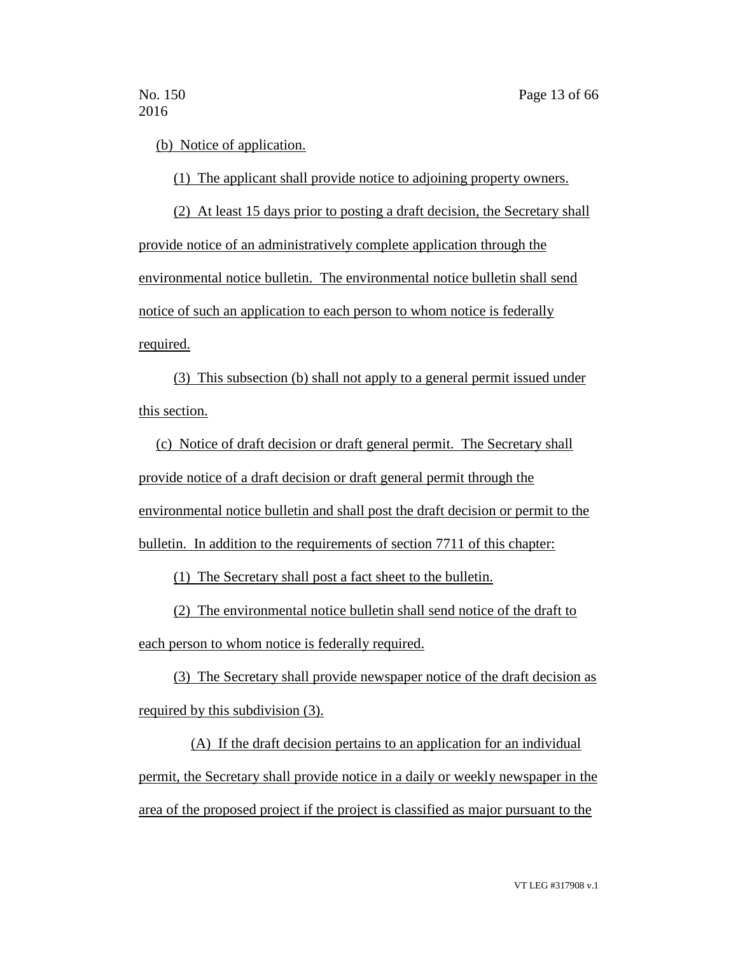(b) Notice of application.

(1) The applicant shall provide notice to adjoining property owners.

(2) At least 15 days prior to posting a draft decision, the Secretary shall provide notice of an administratively complete application through the environmental notice bulletin. The environmental notice bulletin shall send notice of such an application to each person to whom notice is federally required.

(3) This subsection (b) shall not apply to a general permit issued under this section.

(c) Notice of draft decision or draft general permit. The Secretary shall provide notice of a draft decision or draft general permit through the environmental notice bulletin and shall post the draft decision or permit to the bulletin. In addition to the requirements of section 7711 of this chapter:

(1) The Secretary shall post a fact sheet to the bulletin.

(2) The environmental notice bulletin shall send notice of the draft to each person to whom notice is federally required.

(3) The Secretary shall provide newspaper notice of the draft decision as required by this subdivision (3).

(A) If the draft decision pertains to an application for an individual permit, the Secretary shall provide notice in a daily or weekly newspaper in the area of the proposed project if the project is classified as major pursuant to the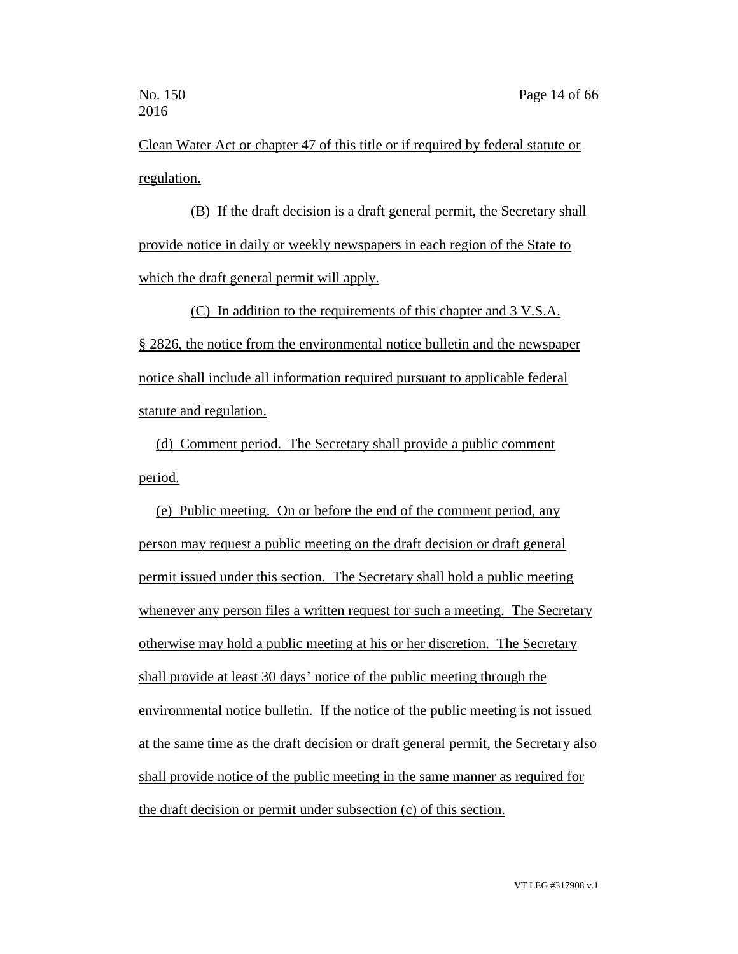Clean Water Act or chapter 47 of this title or if required by federal statute or regulation.

(B) If the draft decision is a draft general permit, the Secretary shall provide notice in daily or weekly newspapers in each region of the State to which the draft general permit will apply.

(C) In addition to the requirements of this chapter and 3 V.S.A. § 2826, the notice from the environmental notice bulletin and the newspaper notice shall include all information required pursuant to applicable federal statute and regulation.

(d) Comment period. The Secretary shall provide a public comment period.

(e) Public meeting. On or before the end of the comment period, any person may request a public meeting on the draft decision or draft general permit issued under this section. The Secretary shall hold a public meeting whenever any person files a written request for such a meeting. The Secretary otherwise may hold a public meeting at his or her discretion. The Secretary shall provide at least 30 days' notice of the public meeting through the environmental notice bulletin. If the notice of the public meeting is not issued at the same time as the draft decision or draft general permit, the Secretary also shall provide notice of the public meeting in the same manner as required for the draft decision or permit under subsection (c) of this section.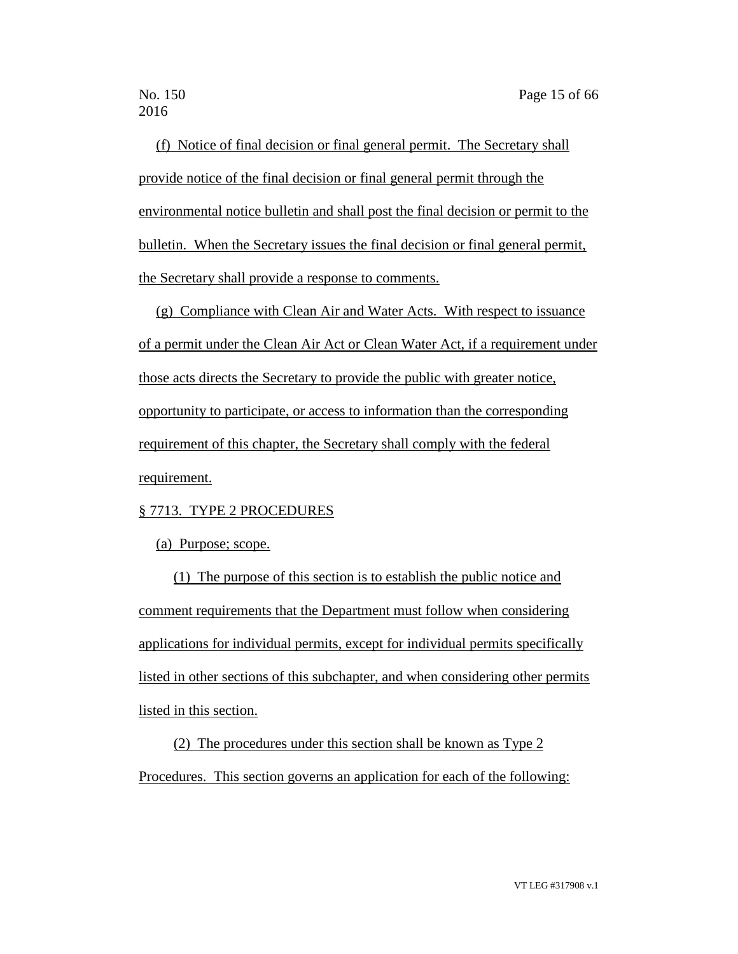(f) Notice of final decision or final general permit. The Secretary shall provide notice of the final decision or final general permit through the environmental notice bulletin and shall post the final decision or permit to the bulletin. When the Secretary issues the final decision or final general permit, the Secretary shall provide a response to comments.

(g) Compliance with Clean Air and Water Acts. With respect to issuance of a permit under the Clean Air Act or Clean Water Act, if a requirement under those acts directs the Secretary to provide the public with greater notice, opportunity to participate, or access to information than the corresponding requirement of this chapter, the Secretary shall comply with the federal requirement.

### § 7713. TYPE 2 PROCEDURES

(a) Purpose; scope.

(1) The purpose of this section is to establish the public notice and comment requirements that the Department must follow when considering applications for individual permits, except for individual permits specifically listed in other sections of this subchapter, and when considering other permits listed in this section.

(2) The procedures under this section shall be known as Type 2 Procedures. This section governs an application for each of the following: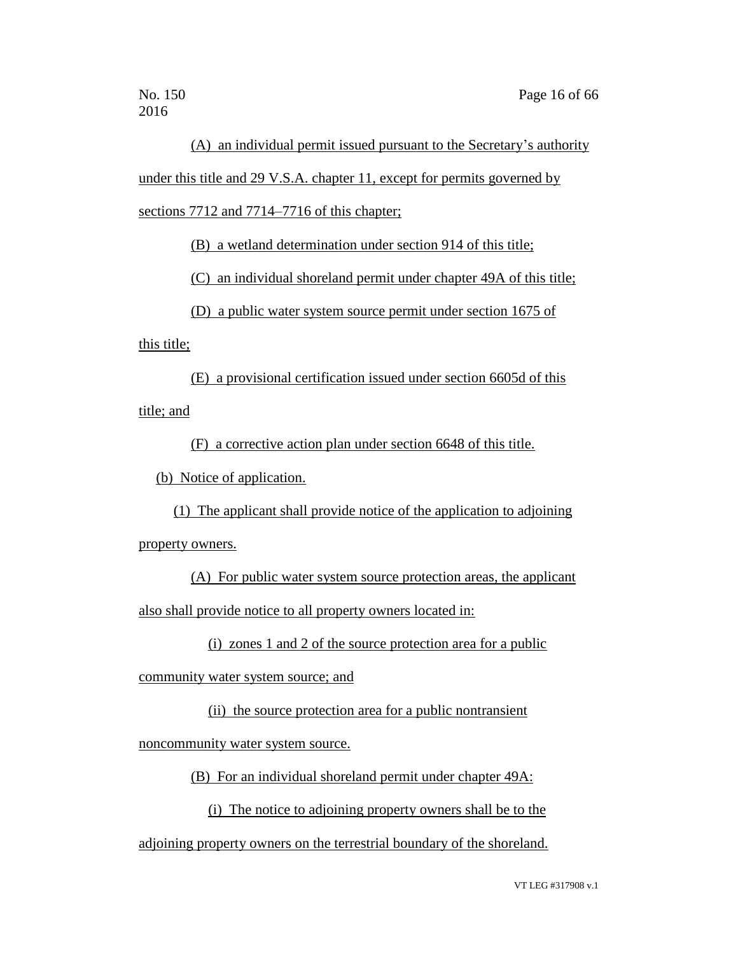(A) an individual permit issued pursuant to the Secretary's authority under this title and 29 V.S.A. chapter 11, except for permits governed by sections 7712 and 7714–7716 of this chapter;

(B) a wetland determination under section 914 of this title;

(C) an individual shoreland permit under chapter 49A of this title;

(D) a public water system source permit under section 1675 of

this title;

(E) a provisional certification issued under section 6605d of this title; and

(F) a corrective action plan under section 6648 of this title.

(b) Notice of application.

(1) The applicant shall provide notice of the application to adjoining

property owners.

(A) For public water system source protection areas, the applicant also shall provide notice to all property owners located in:

(i) zones 1 and 2 of the source protection area for a public

community water system source; and

(ii) the source protection area for a public nontransient

noncommunity water system source.

(B) For an individual shoreland permit under chapter 49A:

(i) The notice to adjoining property owners shall be to the

adjoining property owners on the terrestrial boundary of the shoreland.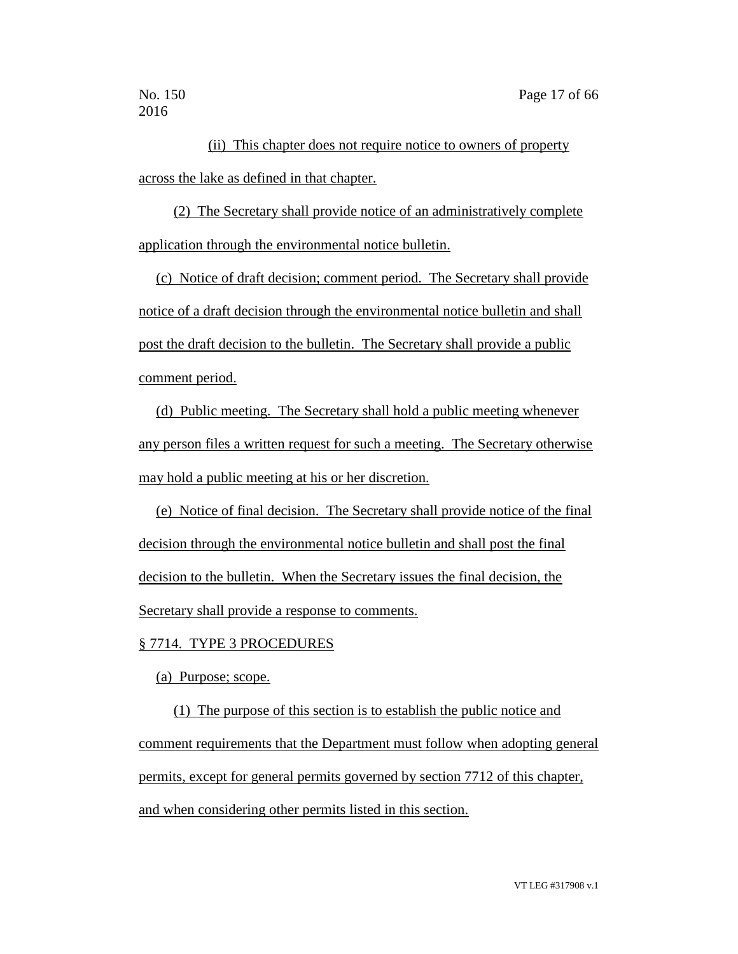(ii) This chapter does not require notice to owners of property across the lake as defined in that chapter.

(2) The Secretary shall provide notice of an administratively complete application through the environmental notice bulletin.

(c) Notice of draft decision; comment period. The Secretary shall provide notice of a draft decision through the environmental notice bulletin and shall post the draft decision to the bulletin. The Secretary shall provide a public comment period.

(d) Public meeting. The Secretary shall hold a public meeting whenever any person files a written request for such a meeting. The Secretary otherwise may hold a public meeting at his or her discretion.

(e) Notice of final decision. The Secretary shall provide notice of the final decision through the environmental notice bulletin and shall post the final decision to the bulletin. When the Secretary issues the final decision, the Secretary shall provide a response to comments.

### § 7714. TYPE 3 PROCEDURES

(a) Purpose; scope.

(1) The purpose of this section is to establish the public notice and comment requirements that the Department must follow when adopting general permits, except for general permits governed by section 7712 of this chapter, and when considering other permits listed in this section.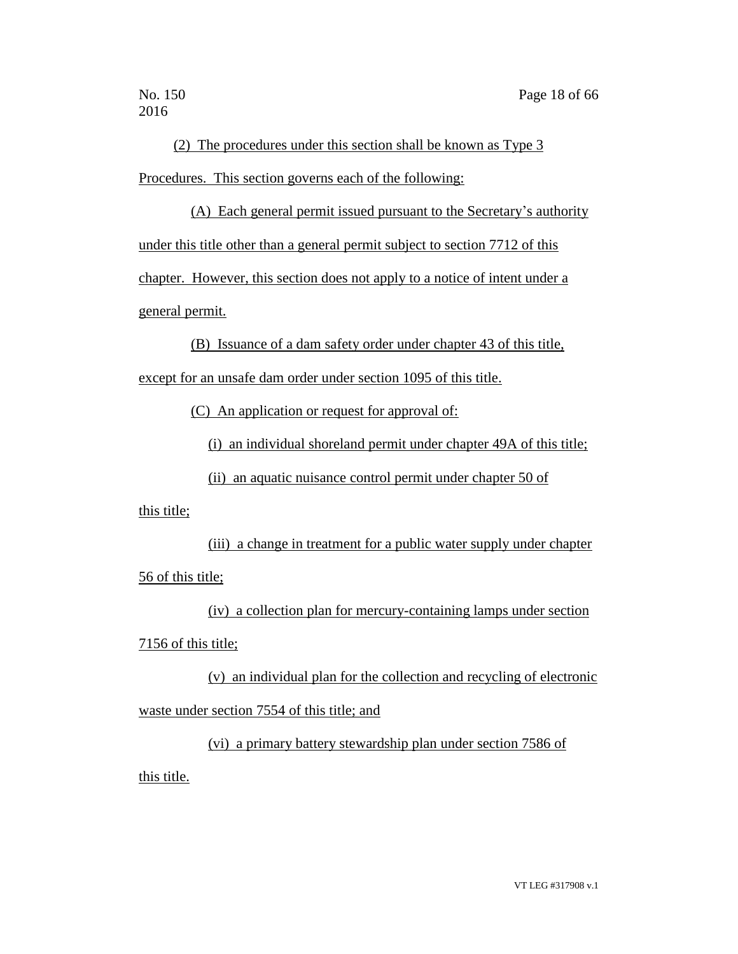(2) The procedures under this section shall be known as Type 3 Procedures. This section governs each of the following:

(A) Each general permit issued pursuant to the Secretary's authority under this title other than a general permit subject to section 7712 of this chapter. However, this section does not apply to a notice of intent under a general permit.

(B) Issuance of a dam safety order under chapter 43 of this title, except for an unsafe dam order under section 1095 of this title.

(C) An application or request for approval of:

(i) an individual shoreland permit under chapter 49A of this title;

(ii) an aquatic nuisance control permit under chapter 50 of

this title;

(iii) a change in treatment for a public water supply under chapter 56 of this title;

(iv) a collection plan for mercury-containing lamps under section 7156 of this title;

(v) an individual plan for the collection and recycling of electronic waste under section 7554 of this title; and

(vi) a primary battery stewardship plan under section 7586 of this title.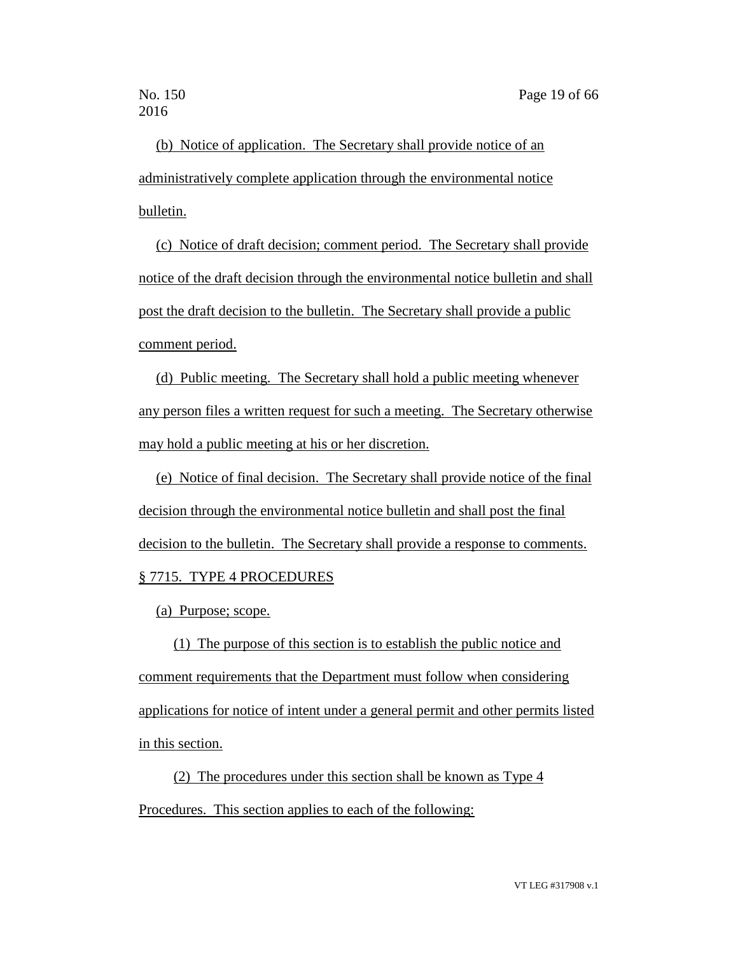(b) Notice of application. The Secretary shall provide notice of an administratively complete application through the environmental notice bulletin.

(c) Notice of draft decision; comment period. The Secretary shall provide notice of the draft decision through the environmental notice bulletin and shall post the draft decision to the bulletin. The Secretary shall provide a public comment period.

(d) Public meeting. The Secretary shall hold a public meeting whenever any person files a written request for such a meeting. The Secretary otherwise may hold a public meeting at his or her discretion.

(e) Notice of final decision. The Secretary shall provide notice of the final decision through the environmental notice bulletin and shall post the final decision to the bulletin. The Secretary shall provide a response to comments. § 7715. TYPE 4 PROCEDURES

(a) Purpose; scope.

(1) The purpose of this section is to establish the public notice and comment requirements that the Department must follow when considering applications for notice of intent under a general permit and other permits listed in this section.

(2) The procedures under this section shall be known as Type 4 Procedures. This section applies to each of the following: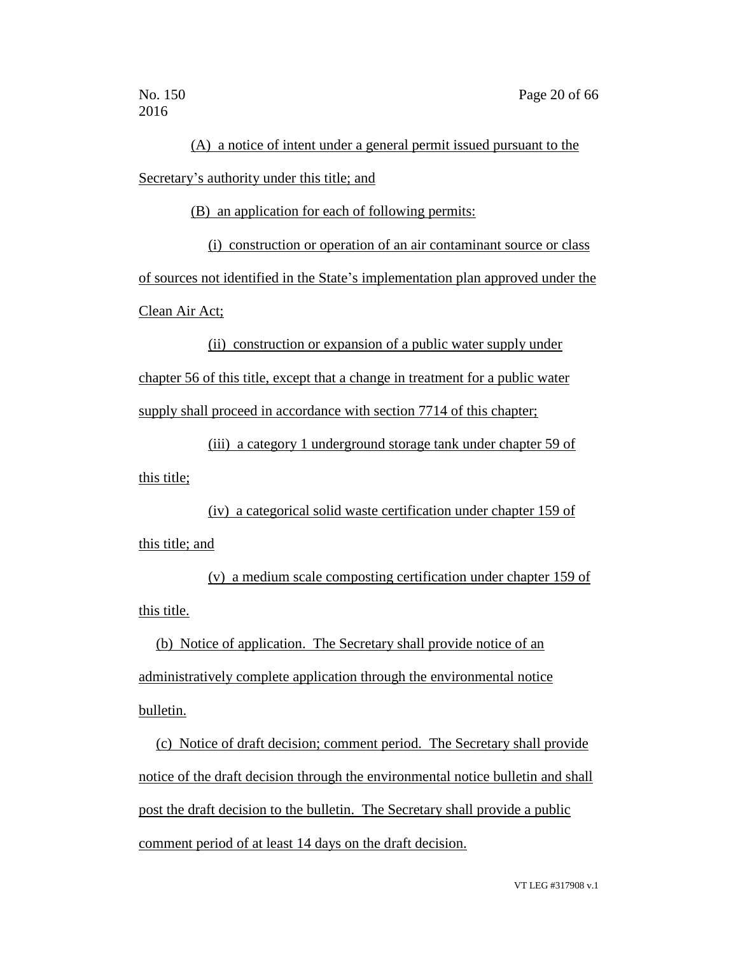(A) a notice of intent under a general permit issued pursuant to the Secretary's authority under this title; and

(B) an application for each of following permits:

(i) construction or operation of an air contaminant source or class of sources not identified in the State's implementation plan approved under the Clean Air Act;

(ii) construction or expansion of a public water supply under chapter 56 of this title, except that a change in treatment for a public water supply shall proceed in accordance with section 7714 of this chapter;

(iii) a category 1 underground storage tank under chapter 59 of this title;

(iv) a categorical solid waste certification under chapter 159 of this title; and

(v) a medium scale composting certification under chapter 159 of this title.

(b) Notice of application. The Secretary shall provide notice of an administratively complete application through the environmental notice bulletin.

(c) Notice of draft decision; comment period. The Secretary shall provide notice of the draft decision through the environmental notice bulletin and shall post the draft decision to the bulletin. The Secretary shall provide a public comment period of at least 14 days on the draft decision.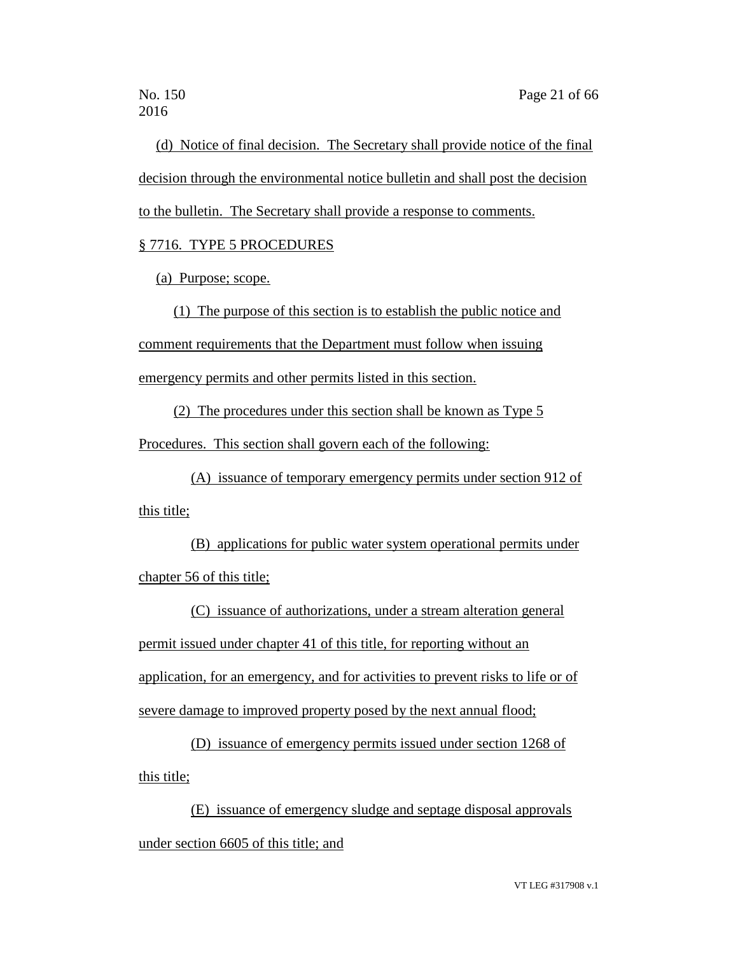(d) Notice of final decision. The Secretary shall provide notice of the final decision through the environmental notice bulletin and shall post the decision to the bulletin. The Secretary shall provide a response to comments.

## § 7716. TYPE 5 PROCEDURES

(a) Purpose; scope.

(1) The purpose of this section is to establish the public notice and

comment requirements that the Department must follow when issuing

emergency permits and other permits listed in this section.

(2) The procedures under this section shall be known as Type 5

Procedures. This section shall govern each of the following:

(A) issuance of temporary emergency permits under section 912 of this title;

(B) applications for public water system operational permits under chapter 56 of this title;

(C) issuance of authorizations, under a stream alteration general permit issued under chapter 41 of this title, for reporting without an application, for an emergency, and for activities to prevent risks to life or of severe damage to improved property posed by the next annual flood;

(D) issuance of emergency permits issued under section 1268 of this title;

(E) issuance of emergency sludge and septage disposal approvals under section 6605 of this title; and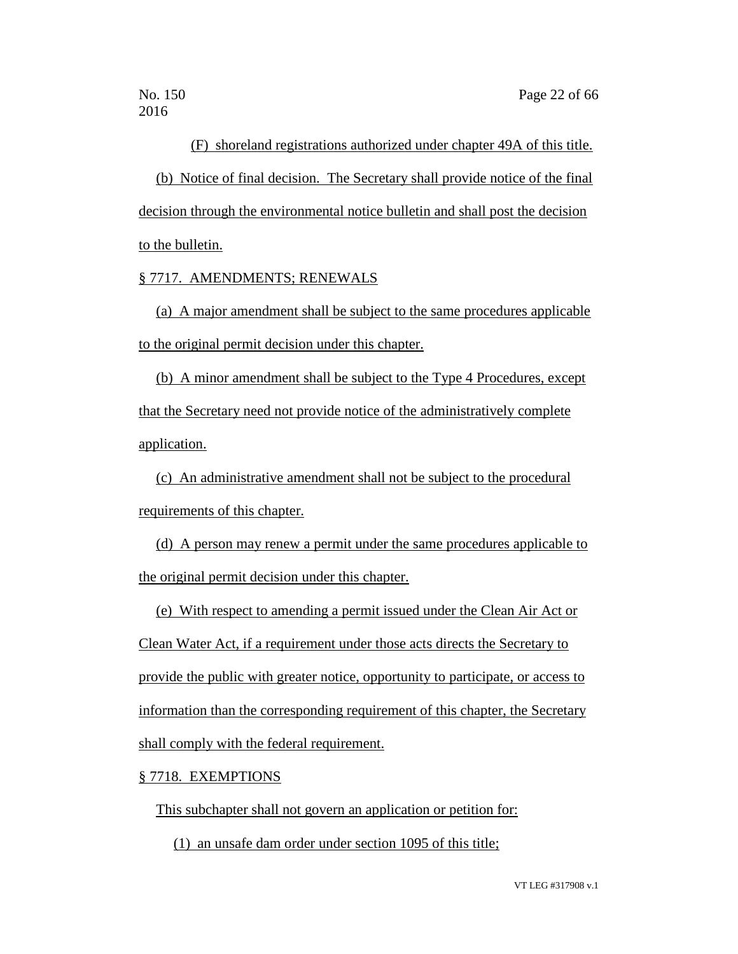(F) shoreland registrations authorized under chapter 49A of this title.

(b) Notice of final decision. The Secretary shall provide notice of the final decision through the environmental notice bulletin and shall post the decision to the bulletin.

§ 7717. AMENDMENTS; RENEWALS

(a) A major amendment shall be subject to the same procedures applicable to the original permit decision under this chapter.

(b) A minor amendment shall be subject to the Type 4 Procedures, except that the Secretary need not provide notice of the administratively complete application.

(c) An administrative amendment shall not be subject to the procedural requirements of this chapter.

(d) A person may renew a permit under the same procedures applicable to the original permit decision under this chapter.

(e) With respect to amending a permit issued under the Clean Air Act or Clean Water Act, if a requirement under those acts directs the Secretary to provide the public with greater notice, opportunity to participate, or access to information than the corresponding requirement of this chapter, the Secretary

shall comply with the federal requirement.

### § 7718. EXEMPTIONS

This subchapter shall not govern an application or petition for:

(1) an unsafe dam order under section 1095 of this title;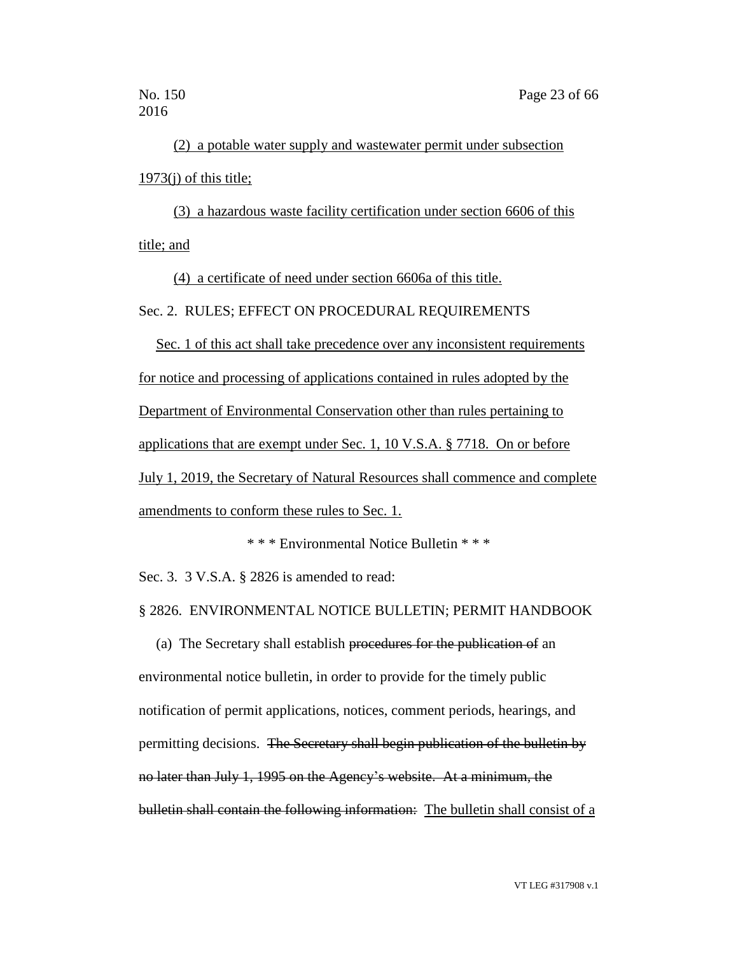(2) a potable water supply and wastewater permit under subsection  $1973(i)$  of this title;

(3) a hazardous waste facility certification under section 6606 of this title; and

(4) a certificate of need under section 6606a of this title.

Sec. 2. RULES; EFFECT ON PROCEDURAL REQUIREMENTS

Sec. 1 of this act shall take precedence over any inconsistent requirements for notice and processing of applications contained in rules adopted by the Department of Environmental Conservation other than rules pertaining to applications that are exempt under Sec. 1, 10 V.S.A. § 7718. On or before July 1, 2019, the Secretary of Natural Resources shall commence and complete amendments to conform these rules to Sec. 1.

\* \* \* Environmental Notice Bulletin \* \* \*

Sec. 3. 3 V.S.A. § 2826 is amended to read:

§ 2826. ENVIRONMENTAL NOTICE BULLETIN; PERMIT HANDBOOK

(a) The Secretary shall establish procedures for the publication of an environmental notice bulletin, in order to provide for the timely public notification of permit applications, notices, comment periods, hearings, and permitting decisions. The Secretary shall begin publication of the bulletin by no later than July 1, 1995 on the Agency's website. At a minimum, the bulletin shall contain the following information: The bulletin shall consist of a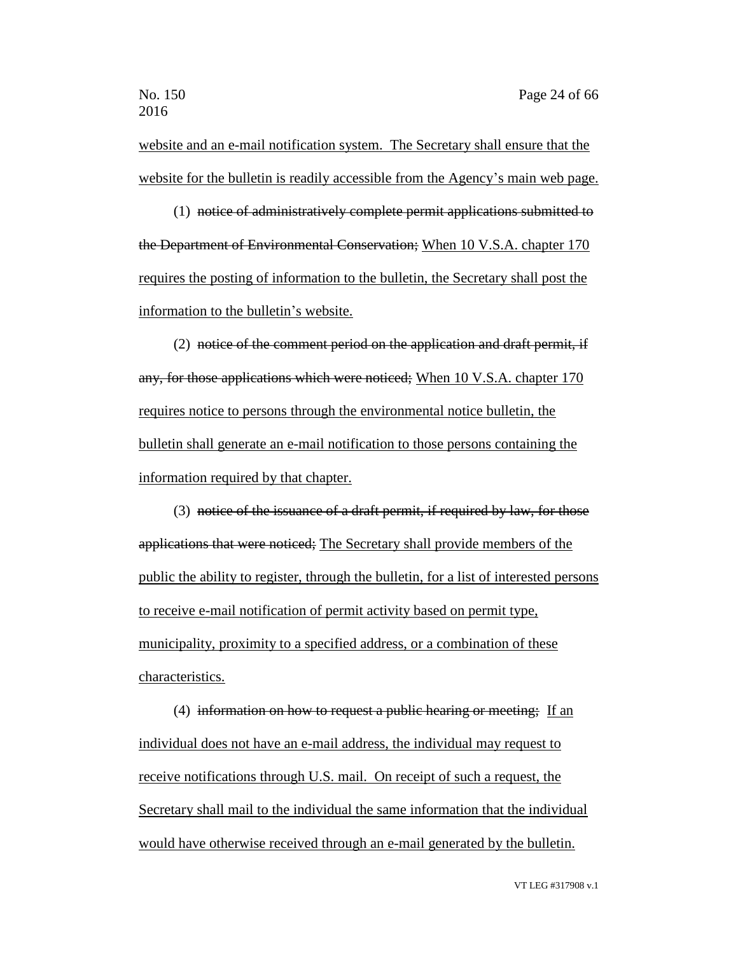website and an e-mail notification system. The Secretary shall ensure that the website for the bulletin is readily accessible from the Agency's main web page.

(1) notice of administratively complete permit applications submitted to the Department of Environmental Conservation; When 10 V.S.A. chapter 170 requires the posting of information to the bulletin, the Secretary shall post the information to the bulletin's website.

(2) notice of the comment period on the application and draft permit, if any, for those applications which were noticed; When 10 V.S.A. chapter 170 requires notice to persons through the environmental notice bulletin, the bulletin shall generate an e-mail notification to those persons containing the information required by that chapter.

(3) notice of the issuance of a draft permit, if required by law, for those applications that were noticed; The Secretary shall provide members of the public the ability to register, through the bulletin, for a list of interested persons to receive e-mail notification of permit activity based on permit type, municipality, proximity to a specified address, or a combination of these characteristics.

(4) information on how to request a public hearing or meeting; If an individual does not have an e-mail address, the individual may request to receive notifications through U.S. mail. On receipt of such a request, the Secretary shall mail to the individual the same information that the individual would have otherwise received through an e-mail generated by the bulletin.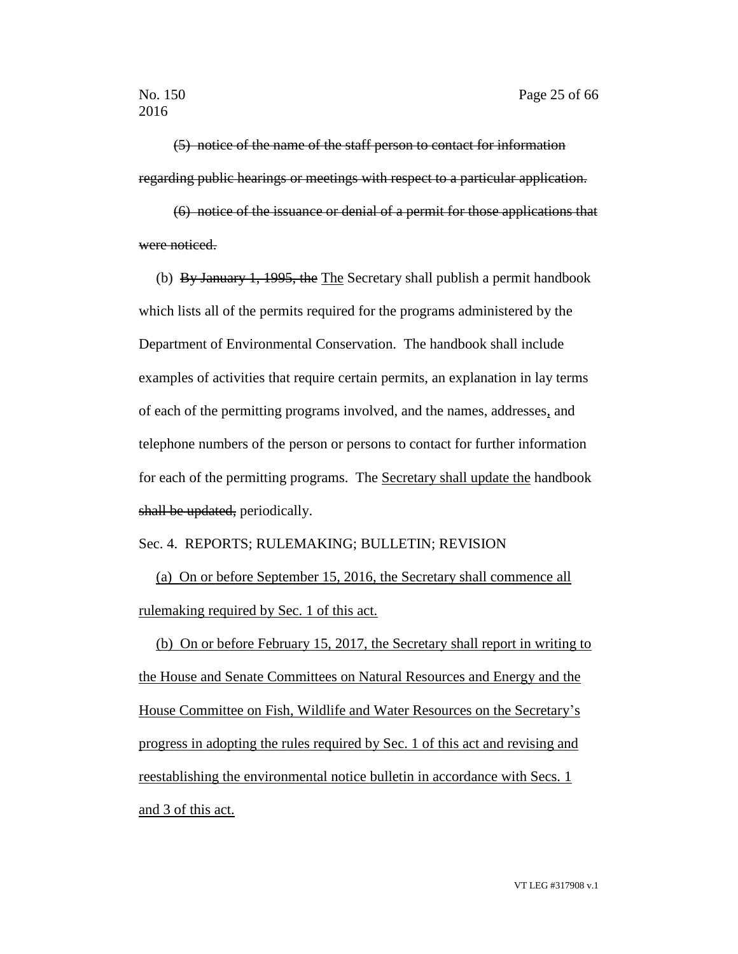(5) notice of the name of the staff person to contact for information regarding public hearings or meetings with respect to a particular application.

(6) notice of the issuance or denial of a permit for those applications that were noticed.

(b) By January 1, 1995, the The Secretary shall publish a permit handbook which lists all of the permits required for the programs administered by the Department of Environmental Conservation. The handbook shall include examples of activities that require certain permits, an explanation in lay terms of each of the permitting programs involved, and the names, addresses, and telephone numbers of the person or persons to contact for further information for each of the permitting programs. The Secretary shall update the handbook shall be updated, periodically.

### Sec. 4. REPORTS; RULEMAKING; BULLETIN; REVISION

(a) On or before September 15, 2016, the Secretary shall commence all rulemaking required by Sec. 1 of this act.

(b) On or before February 15, 2017, the Secretary shall report in writing to the House and Senate Committees on Natural Resources and Energy and the House Committee on Fish, Wildlife and Water Resources on the Secretary's progress in adopting the rules required by Sec. 1 of this act and revising and reestablishing the environmental notice bulletin in accordance with Secs. 1 and 3 of this act.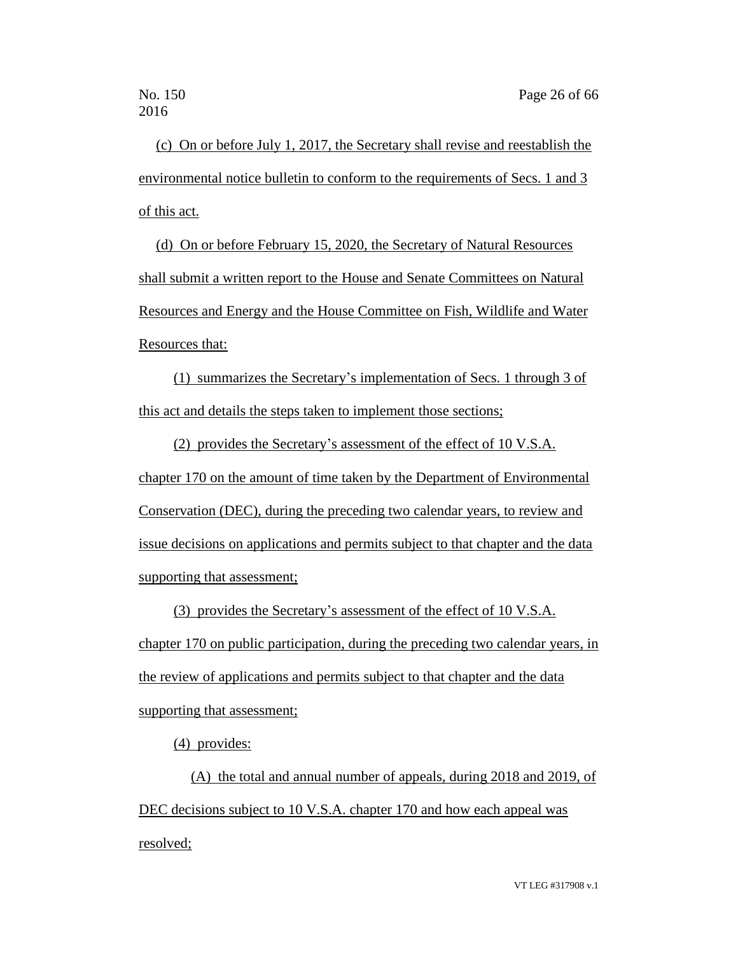(c) On or before July 1, 2017, the Secretary shall revise and reestablish the environmental notice bulletin to conform to the requirements of Secs. 1 and 3 of this act.

(d) On or before February 15, 2020, the Secretary of Natural Resources shall submit a written report to the House and Senate Committees on Natural Resources and Energy and the House Committee on Fish, Wildlife and Water Resources that:

(1) summarizes the Secretary's implementation of Secs. 1 through 3 of this act and details the steps taken to implement those sections;

(2) provides the Secretary's assessment of the effect of 10 V.S.A. chapter 170 on the amount of time taken by the Department of Environmental Conservation (DEC), during the preceding two calendar years, to review and issue decisions on applications and permits subject to that chapter and the data supporting that assessment;

(3) provides the Secretary's assessment of the effect of 10 V.S.A. chapter 170 on public participation, during the preceding two calendar years, in the review of applications and permits subject to that chapter and the data supporting that assessment;

(4) provides:

(A) the total and annual number of appeals, during 2018 and 2019, of DEC decisions subject to 10 V.S.A. chapter 170 and how each appeal was resolved;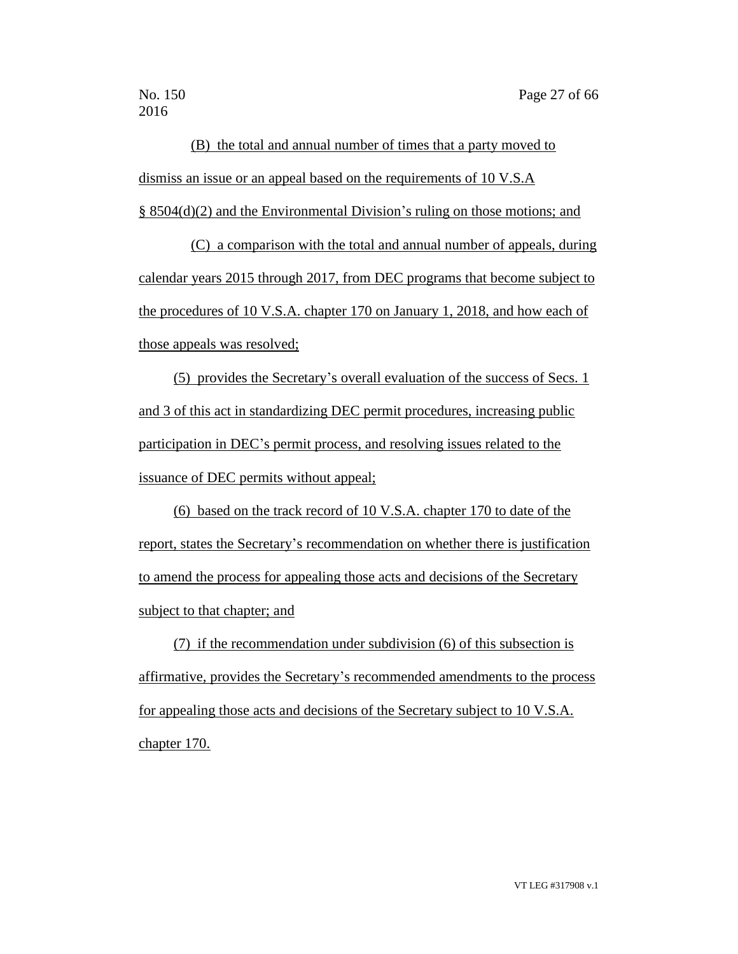(B) the total and annual number of times that a party moved to dismiss an issue or an appeal based on the requirements of 10 V.S.A § 8504(d)(2) and the Environmental Division's ruling on those motions; and

(C) a comparison with the total and annual number of appeals, during calendar years 2015 through 2017, from DEC programs that become subject to the procedures of 10 V.S.A. chapter 170 on January 1, 2018, and how each of those appeals was resolved;

(5) provides the Secretary's overall evaluation of the success of Secs. 1 and 3 of this act in standardizing DEC permit procedures, increasing public participation in DEC's permit process, and resolving issues related to the issuance of DEC permits without appeal;

(6) based on the track record of 10 V.S.A. chapter 170 to date of the report, states the Secretary's recommendation on whether there is justification to amend the process for appealing those acts and decisions of the Secretary subject to that chapter; and

(7) if the recommendation under subdivision (6) of this subsection is affirmative, provides the Secretary's recommended amendments to the process for appealing those acts and decisions of the Secretary subject to 10 V.S.A. chapter 170.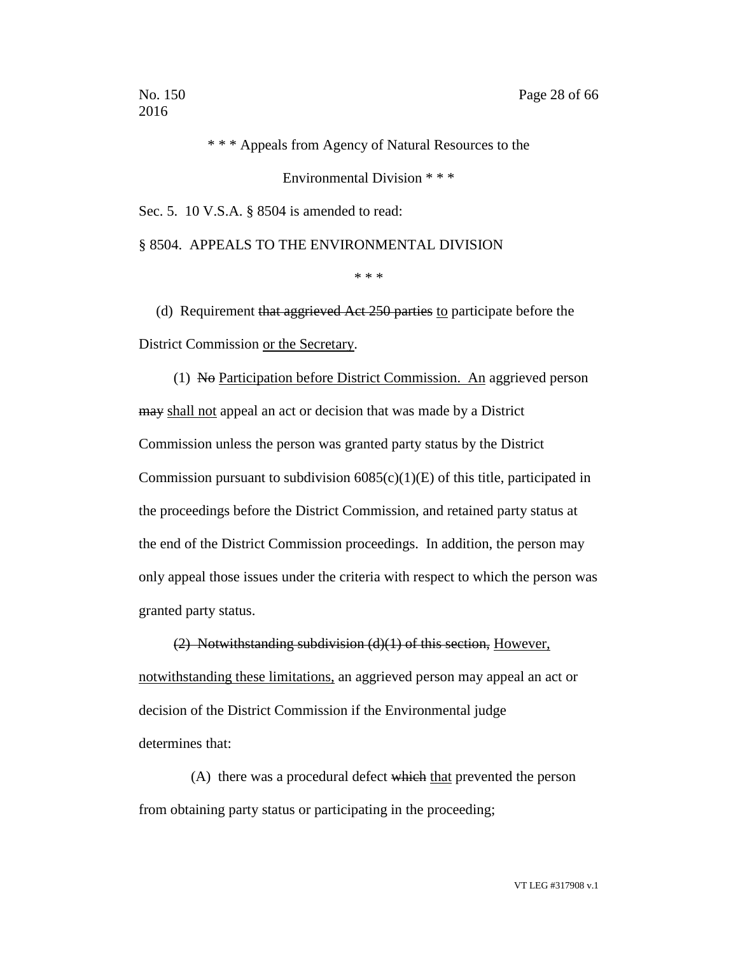\* \* \* Appeals from Agency of Natural Resources to the

Environmental Division \* \* \*

Sec. 5. 10 V.S.A. § 8504 is amended to read:

§ 8504. APPEALS TO THE ENVIRONMENTAL DIVISION

\* \* \*

(d) Requirement that aggrieved Act 250 parties to participate before the District Commission or the Secretary.

(1) No Participation before District Commission. An aggrieved person may shall not appeal an act or decision that was made by a District Commission unless the person was granted party status by the District Commission pursuant to subdivision  $6085(c)(1)(E)$  of this title, participated in the proceedings before the District Commission, and retained party status at the end of the District Commission proceedings. In addition, the person may only appeal those issues under the criteria with respect to which the person was granted party status.

(2) Notwithstanding subdivision (d)(1) of this section, However, notwithstanding these limitations, an aggrieved person may appeal an act or decision of the District Commission if the Environmental judge determines that:

(A) there was a procedural defect which that prevented the person from obtaining party status or participating in the proceeding;

VT LEG #317908 v.1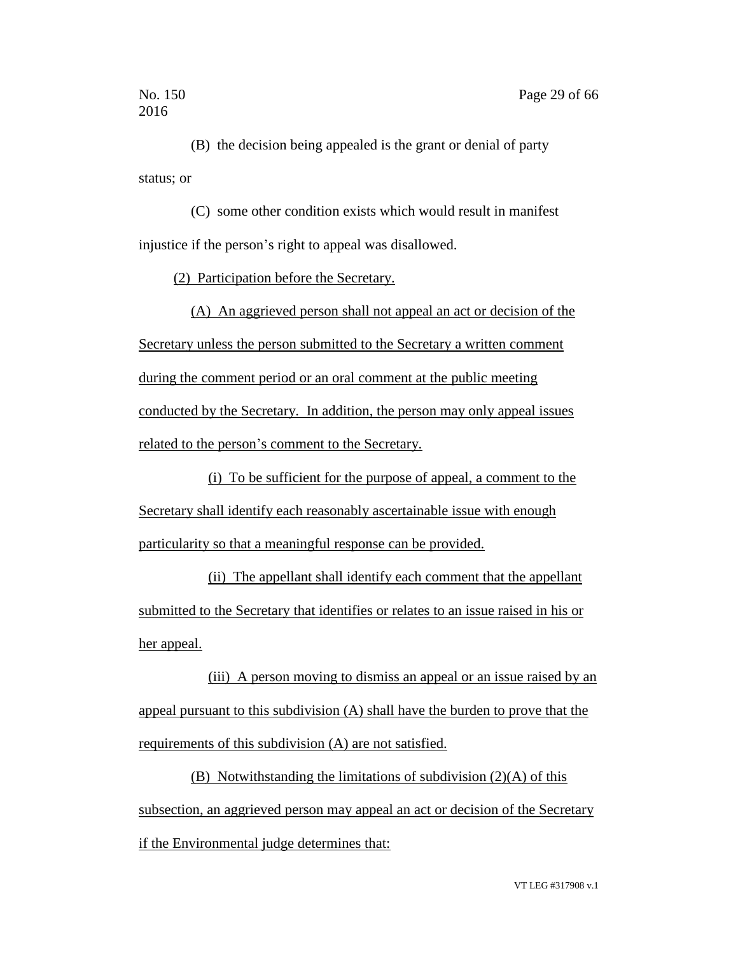(B) the decision being appealed is the grant or denial of party status; or

(C) some other condition exists which would result in manifest injustice if the person's right to appeal was disallowed.

(2) Participation before the Secretary.

(A) An aggrieved person shall not appeal an act or decision of the Secretary unless the person submitted to the Secretary a written comment during the comment period or an oral comment at the public meeting conducted by the Secretary. In addition, the person may only appeal issues related to the person's comment to the Secretary.

(i) To be sufficient for the purpose of appeal, a comment to the Secretary shall identify each reasonably ascertainable issue with enough particularity so that a meaningful response can be provided.

(ii) The appellant shall identify each comment that the appellant submitted to the Secretary that identifies or relates to an issue raised in his or her appeal.

(iii) A person moving to dismiss an appeal or an issue raised by an appeal pursuant to this subdivision (A) shall have the burden to prove that the requirements of this subdivision (A) are not satisfied.

(B) Notwithstanding the limitations of subdivision (2)(A) of this subsection, an aggrieved person may appeal an act or decision of the Secretary if the Environmental judge determines that: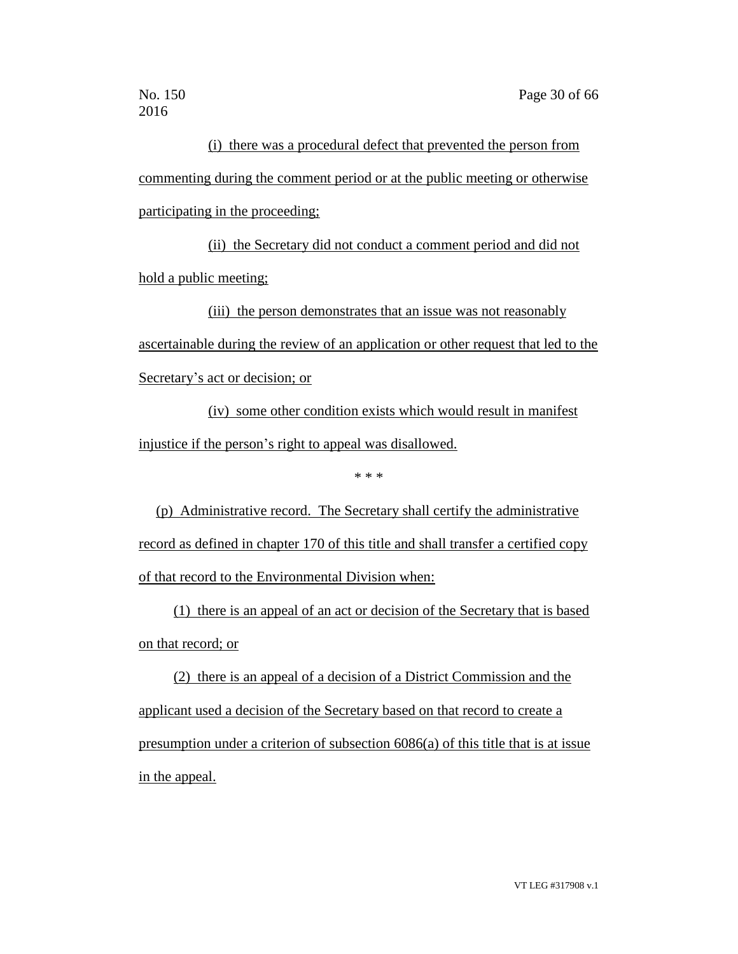(i) there was a procedural defect that prevented the person from commenting during the comment period or at the public meeting or otherwise participating in the proceeding;

(ii) the Secretary did not conduct a comment period and did not hold a public meeting;

(iii) the person demonstrates that an issue was not reasonably ascertainable during the review of an application or other request that led to the Secretary's act or decision; or

(iv) some other condition exists which would result in manifest injustice if the person's right to appeal was disallowed.

\* \* \*

(p) Administrative record. The Secretary shall certify the administrative record as defined in chapter 170 of this title and shall transfer a certified copy of that record to the Environmental Division when:

(1) there is an appeal of an act or decision of the Secretary that is based on that record; or

(2) there is an appeal of a decision of a District Commission and the applicant used a decision of the Secretary based on that record to create a presumption under a criterion of subsection 6086(a) of this title that is at issue in the appeal.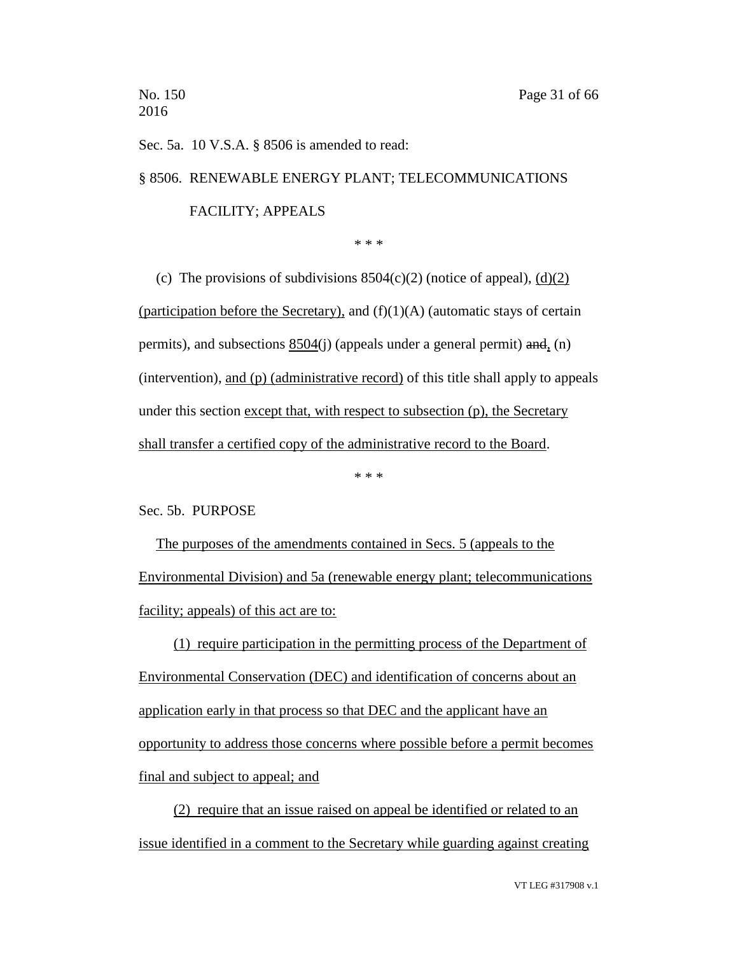Sec. 5a. 10 V.S.A. § 8506 is amended to read:

§ 8506. RENEWABLE ENERGY PLANT; TELECOMMUNICATIONS

### FACILITY; APPEALS

\* \* \*

(c) The provisions of subdivisions  $8504(c)(2)$  (notice of appeal),  $(d)(2)$ (participation before the Secretary), and  $(f)(1)(A)$  (automatic stays of certain permits), and subsections 8504(j) (appeals under a general permit) and, (n) (intervention), and (p) (administrative record) of this title shall apply to appeals under this section except that, with respect to subsection (p), the Secretary shall transfer a certified copy of the administrative record to the Board.

\* \* \*

### Sec. 5b. PURPOSE

The purposes of the amendments contained in Secs. 5 (appeals to the Environmental Division) and 5a (renewable energy plant; telecommunications facility; appeals) of this act are to:

(1) require participation in the permitting process of the Department of Environmental Conservation (DEC) and identification of concerns about an application early in that process so that DEC and the applicant have an opportunity to address those concerns where possible before a permit becomes final and subject to appeal; and

(2) require that an issue raised on appeal be identified or related to an issue identified in a comment to the Secretary while guarding against creating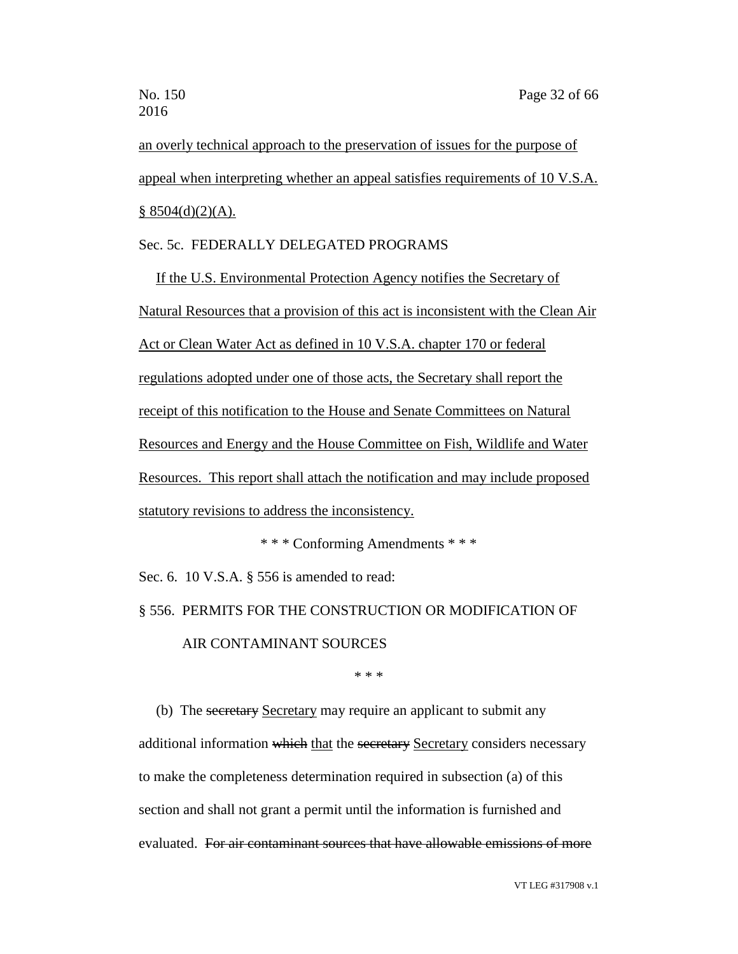an overly technical approach to the preservation of issues for the purpose of appeal when interpreting whether an appeal satisfies requirements of 10 V.S.A.  $§$  8504(d)(2)(A).

### Sec. 5c. FEDERALLY DELEGATED PROGRAMS

If the U.S. Environmental Protection Agency notifies the Secretary of Natural Resources that a provision of this act is inconsistent with the Clean Air Act or Clean Water Act as defined in 10 V.S.A. chapter 170 or federal regulations adopted under one of those acts, the Secretary shall report the receipt of this notification to the House and Senate Committees on Natural Resources and Energy and the House Committee on Fish, Wildlife and Water Resources. This report shall attach the notification and may include proposed statutory revisions to address the inconsistency.

\* \* \* Conforming Amendments \* \* \*

Sec. 6. 10 V.S.A. § 556 is amended to read:

# § 556. PERMITS FOR THE CONSTRUCTION OR MODIFICATION OF AIR CONTAMINANT SOURCES

\* \* \*

(b) The secretary Secretary may require an applicant to submit any additional information which that the secretary Secretary considers necessary to make the completeness determination required in subsection (a) of this section and shall not grant a permit until the information is furnished and evaluated. For air contaminant sources that have allowable emissions of more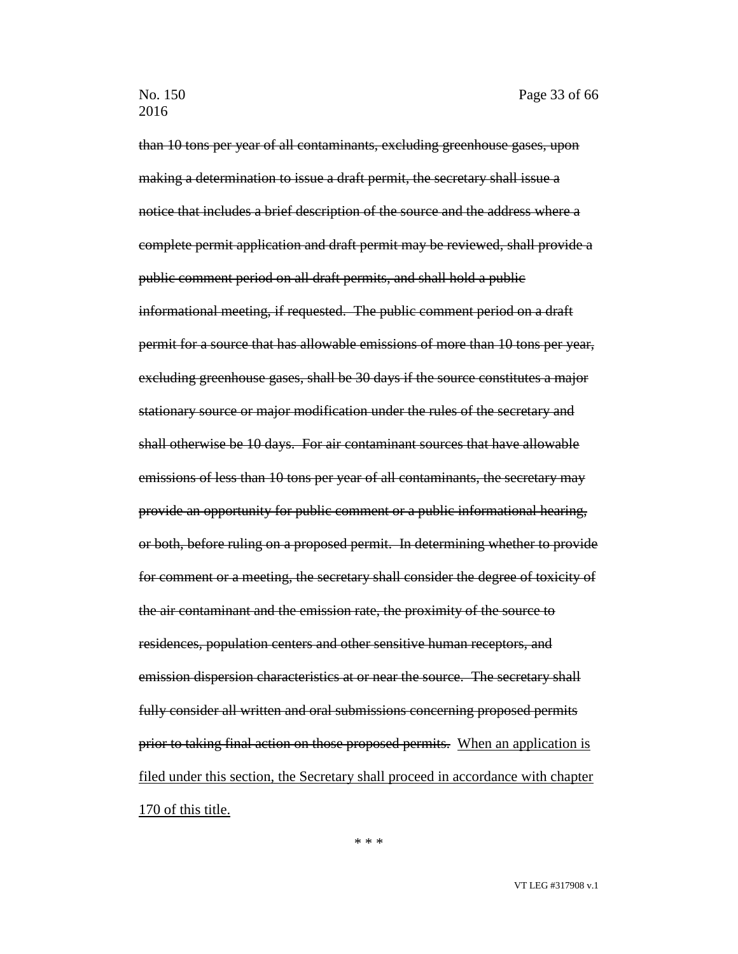than 10 tons per year of all contaminants, excluding greenhouse gases, upon making a determination to issue a draft permit, the secretary shall issue a notice that includes a brief description of the source and the address where a complete permit application and draft permit may be reviewed, shall provide a public comment period on all draft permits, and shall hold a public informational meeting, if requested. The public comment period on a draft permit for a source that has allowable emissions of more than 10 tons per year, excluding greenhouse gases, shall be 30 days if the source constitutes a major stationary source or major modification under the rules of the secretary and shall otherwise be 10 days. For air contaminant sources that have allowable emissions of less than 10 tons per year of all contaminants, the secretary may provide an opportunity for public comment or a public informational hearing, or both, before ruling on a proposed permit. In determining whether to provide for comment or a meeting, the secretary shall consider the degree of toxicity of the air contaminant and the emission rate, the proximity of the source to residences, population centers and other sensitive human receptors, and emission dispersion characteristics at or near the source. The secretary shall fully consider all written and oral submissions concerning proposed permits prior to taking final action on those proposed permits. When an application is filed under this section, the Secretary shall proceed in accordance with chapter 170 of this title.

\* \* \*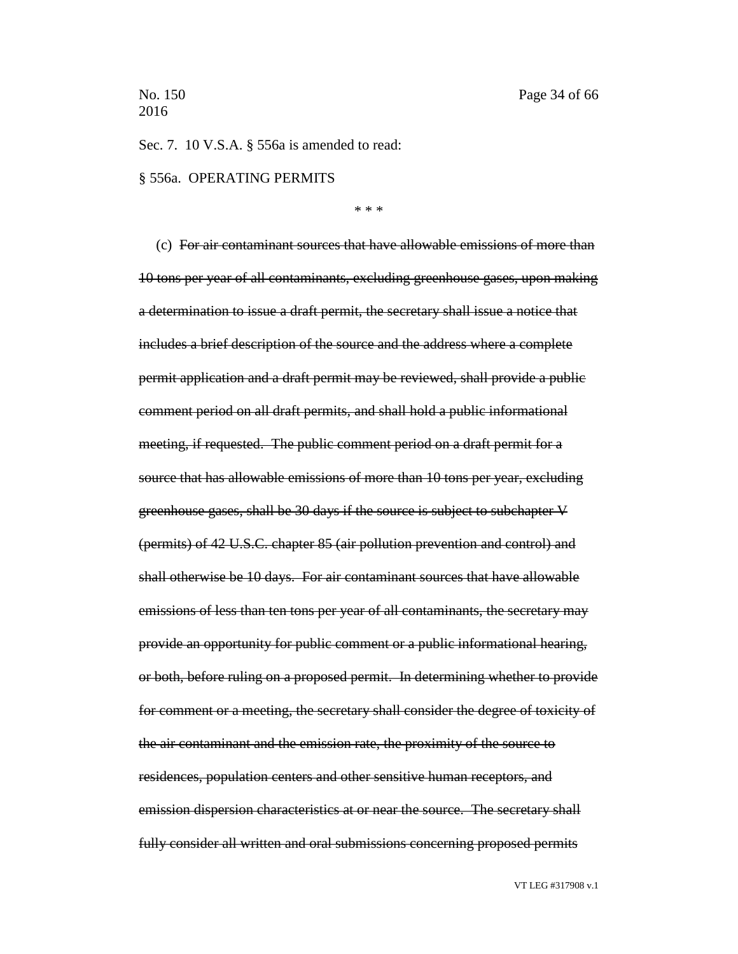Sec. 7. 10 V.S.A. § 556a is amended to read:

## § 556a. OPERATING PERMITS

\* \* \*

(c) For air contaminant sources that have allowable emissions of more than 10 tons per year of all contaminants, excluding greenhouse gases, upon making a determination to issue a draft permit, the secretary shall issue a notice that includes a brief description of the source and the address where a complete permit application and a draft permit may be reviewed, shall provide a public comment period on all draft permits, and shall hold a public informational meeting, if requested. The public comment period on a draft permit for a source that has allowable emissions of more than 10 tons per year, excluding greenhouse gases, shall be 30 days if the source is subject to subchapter V (permits) of 42 U.S.C. chapter 85 (air pollution prevention and control) and shall otherwise be 10 days. For air contaminant sources that have allowable emissions of less than ten tons per year of all contaminants, the secretary may provide an opportunity for public comment or a public informational hearing, or both, before ruling on a proposed permit. In determining whether to provide for comment or a meeting, the secretary shall consider the degree of toxicity of the air contaminant and the emission rate, the proximity of the source to residences, population centers and other sensitive human receptors, and emission dispersion characteristics at or near the source. The secretary shall fully consider all written and oral submissions concerning proposed permits

VT LEG #317908 v.1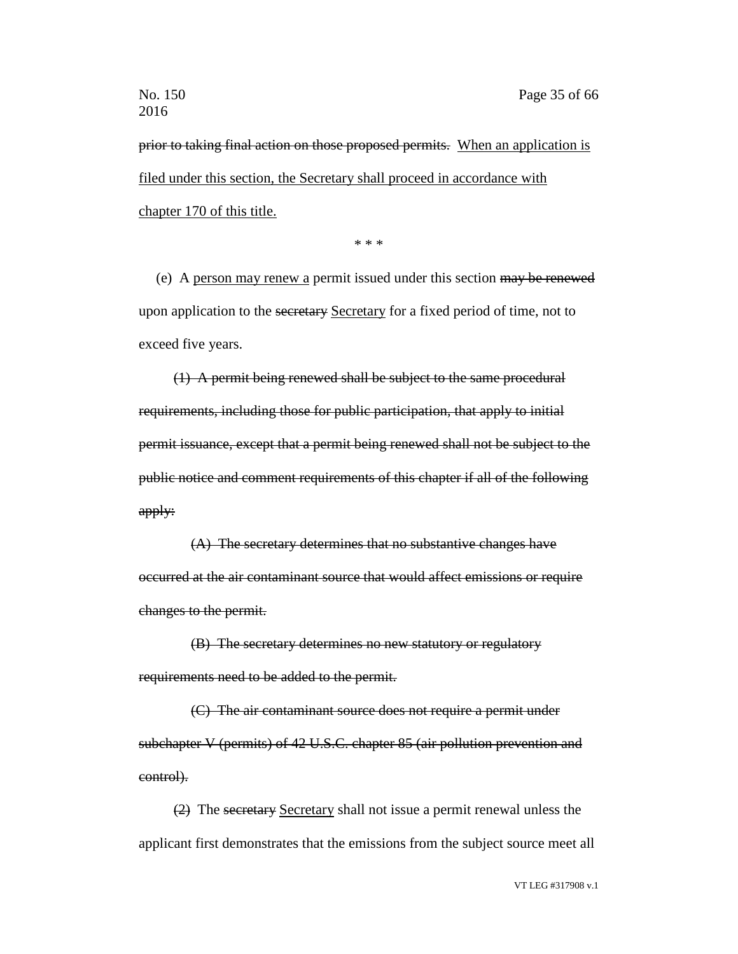prior to taking final action on those proposed permits. When an application is filed under this section, the Secretary shall proceed in accordance with chapter 170 of this title.

\* \* \*

(e) A person may renew a permit issued under this section may be renewed upon application to the secretary Secretary for a fixed period of time, not to exceed five years.

(1) A permit being renewed shall be subject to the same procedural requirements, including those for public participation, that apply to initial permit issuance, except that a permit being renewed shall not be subject to the public notice and comment requirements of this chapter if all of the following apply:

(A) The secretary determines that no substantive changes have occurred at the air contaminant source that would affect emissions or require changes to the permit.

(B) The secretary determines no new statutory or regulatory requirements need to be added to the permit.

(C) The air contaminant source does not require a permit under subchapter V (permits) of 42 U.S.C. chapter 85 (air pollution prevention and control).

(2) The secretary Secretary shall not issue a permit renewal unless the applicant first demonstrates that the emissions from the subject source meet all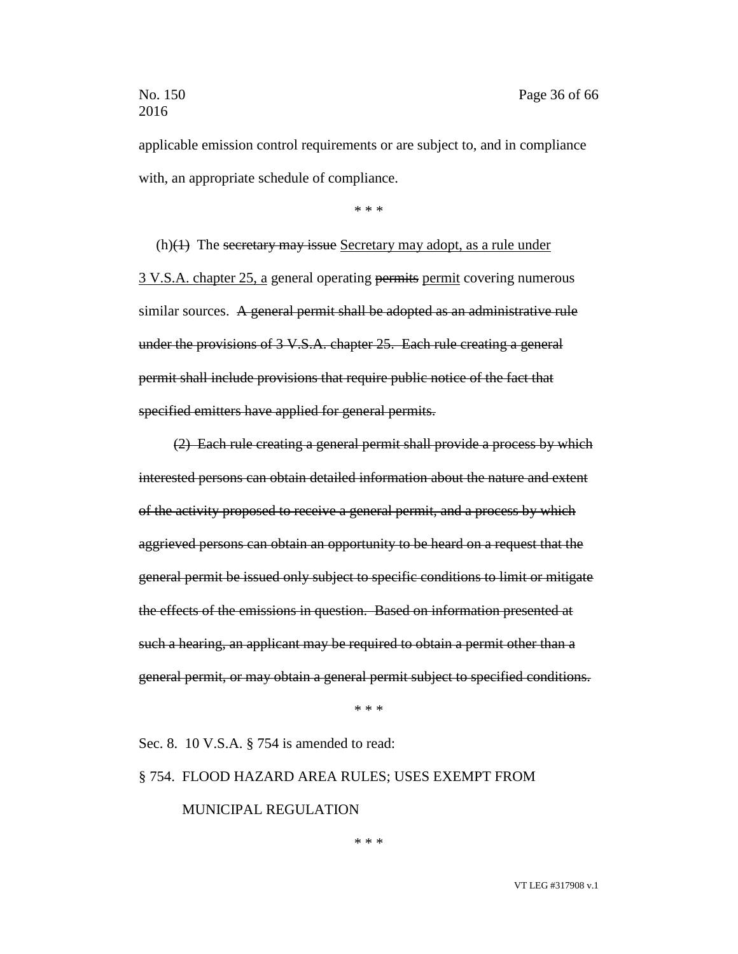applicable emission control requirements or are subject to, and in compliance with, an appropriate schedule of compliance.

\* \* \*

 $(h)(1)$  The secretary may issue Secretary may adopt, as a rule under 3 V.S.A. chapter 25, a general operating permits permit covering numerous similar sources. A general permit shall be adopted as an administrative rule under the provisions of 3 V.S.A. chapter 25. Each rule creating a general permit shall include provisions that require public notice of the fact that specified emitters have applied for general permits.

(2) Each rule creating a general permit shall provide a process by which interested persons can obtain detailed information about the nature and extent of the activity proposed to receive a general permit, and a process by which aggrieved persons can obtain an opportunity to be heard on a request that the general permit be issued only subject to specific conditions to limit or mitigate the effects of the emissions in question. Based on information presented at such a hearing, an applicant may be required to obtain a permit other than a general permit, or may obtain a general permit subject to specified conditions.

\* \* \*

Sec. 8. 10 V.S.A. § 754 is amended to read:

# § 754. FLOOD HAZARD AREA RULES; USES EXEMPT FROM MUNICIPAL REGULATION

\* \* \*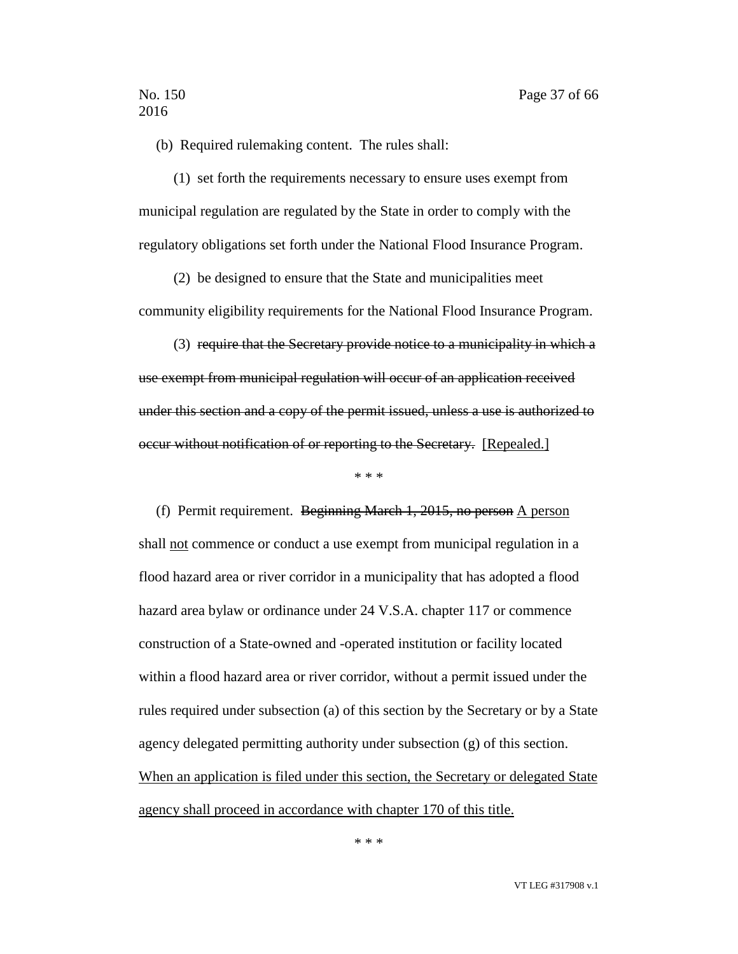(b) Required rulemaking content. The rules shall:

(1) set forth the requirements necessary to ensure uses exempt from municipal regulation are regulated by the State in order to comply with the regulatory obligations set forth under the National Flood Insurance Program.

(2) be designed to ensure that the State and municipalities meet community eligibility requirements for the National Flood Insurance Program.

(3) require that the Secretary provide notice to a municipality in which a use exempt from municipal regulation will occur of an application received under this section and a copy of the permit issued, unless a use is authorized to occur without notification of or reporting to the Secretary. [Repealed.]

\* \* \*

(f) Permit requirement. Beginning March 1, 2015, no person A person shall not commence or conduct a use exempt from municipal regulation in a flood hazard area or river corridor in a municipality that has adopted a flood hazard area bylaw or ordinance under 24 V.S.A. chapter 117 or commence construction of a State-owned and -operated institution or facility located within a flood hazard area or river corridor, without a permit issued under the rules required under subsection (a) of this section by the Secretary or by a State agency delegated permitting authority under subsection (g) of this section. When an application is filed under this section, the Secretary or delegated State agency shall proceed in accordance with chapter 170 of this title.

\* \* \*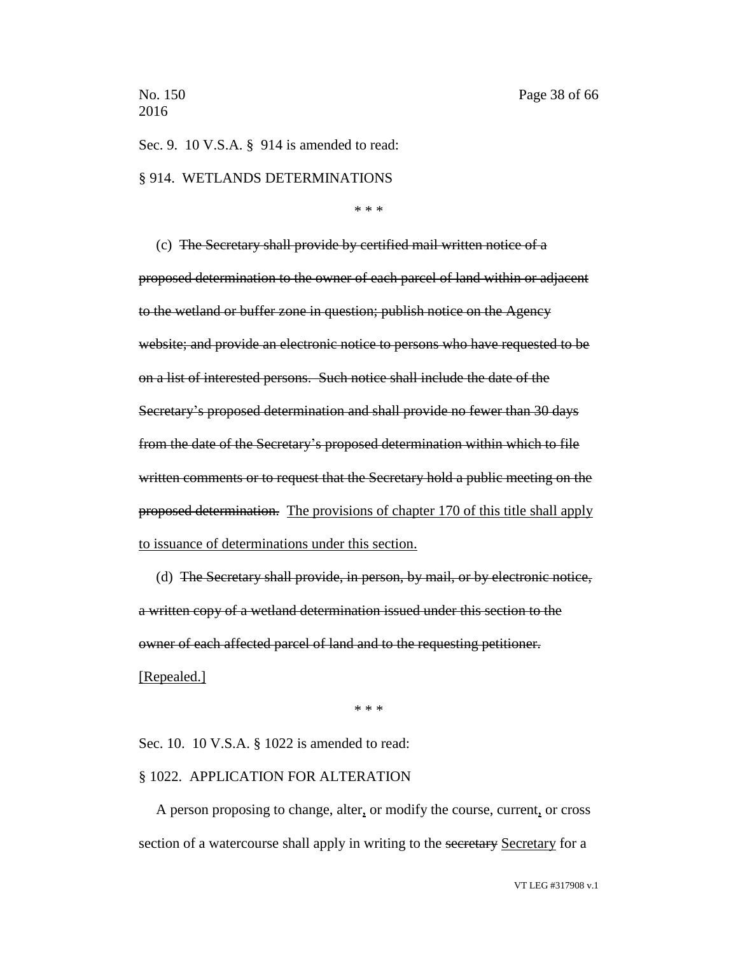Sec. 9. 10 V.S.A. § 914 is amended to read: § 914. WETLANDS DETERMINATIONS

\* \* \*

(c) The Secretary shall provide by certified mail written notice of a proposed determination to the owner of each parcel of land within or adjacent to the wetland or buffer zone in question; publish notice on the Agency website; and provide an electronic notice to persons who have requested to be on a list of interested persons. Such notice shall include the date of the Secretary's proposed determination and shall provide no fewer than 30 days from the date of the Secretary's proposed determination within which to file written comments or to request that the Secretary hold a public meeting on the proposed determination. The provisions of chapter 170 of this title shall apply to issuance of determinations under this section.

(d) The Secretary shall provide, in person, by mail, or by electronic notice, a written copy of a wetland determination issued under this section to the owner of each affected parcel of land and to the requesting petitioner. [Repealed.]

\* \* \*

Sec. 10. 10 V.S.A. § 1022 is amended to read:

### § 1022. APPLICATION FOR ALTERATION

A person proposing to change, alter, or modify the course, current, or cross section of a watercourse shall apply in writing to the secretary Secretary for a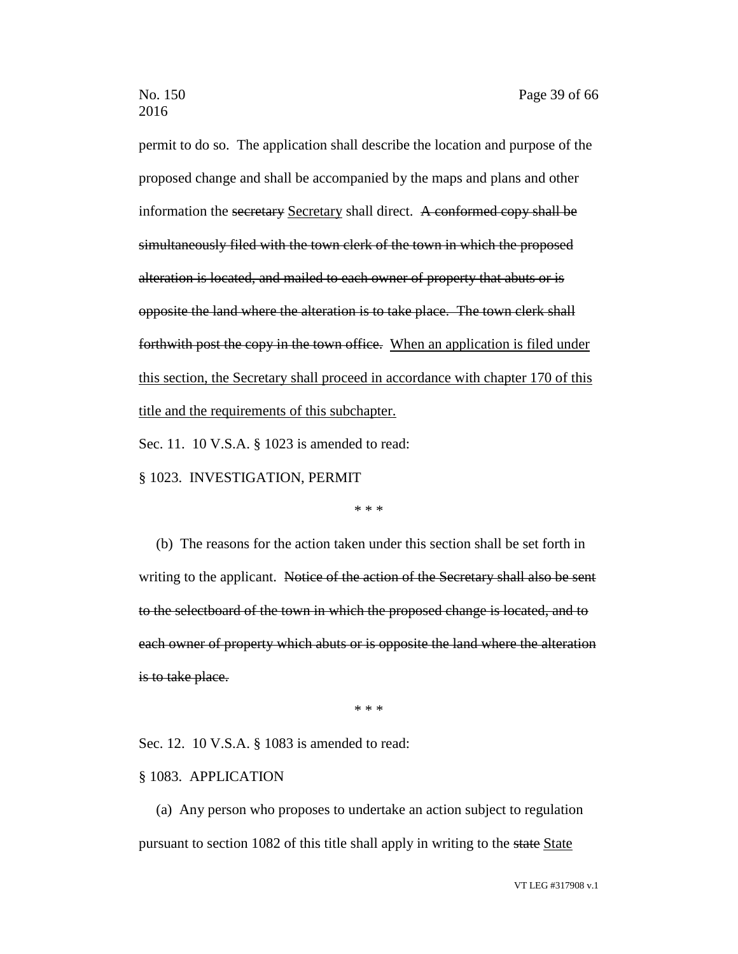permit to do so. The application shall describe the location and purpose of the proposed change and shall be accompanied by the maps and plans and other information the secretary Secretary shall direct. A conformed copy shall be simultaneously filed with the town clerk of the town in which the proposed alteration is located, and mailed to each owner of property that abuts or is opposite the land where the alteration is to take place. The town clerk shall forthwith post the copy in the town office. When an application is filed under this section, the Secretary shall proceed in accordance with chapter 170 of this title and the requirements of this subchapter.

Sec. 11. 10 V.S.A. § 1023 is amended to read:

§ 1023. INVESTIGATION, PERMIT

\* \* \*

(b) The reasons for the action taken under this section shall be set forth in writing to the applicant. Notice of the action of the Secretary shall also be sent to the selectboard of the town in which the proposed change is located, and to each owner of property which abuts or is opposite the land where the alteration is to take place.

\* \* \*

Sec. 12. 10 V.S.A. § 1083 is amended to read:

### § 1083. APPLICATION

(a) Any person who proposes to undertake an action subject to regulation pursuant to section 1082 of this title shall apply in writing to the state State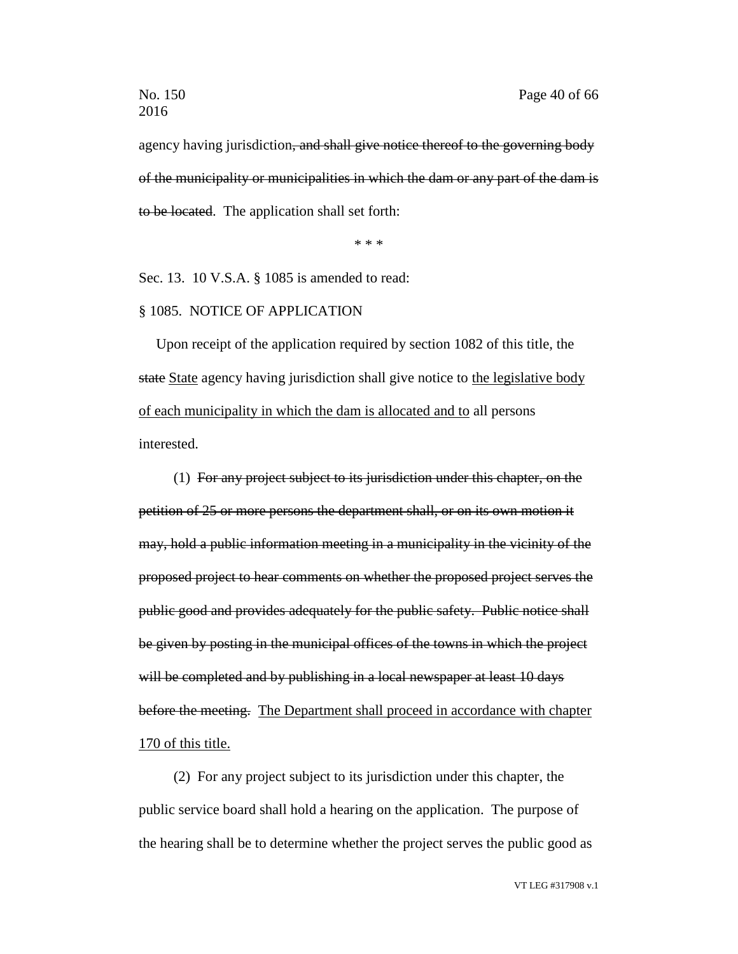agency having jurisdiction, and shall give notice thereof to the governing body of the municipality or municipalities in which the dam or any part of the dam is to be located. The application shall set forth:

\* \* \*

Sec. 13. 10 V.S.A. § 1085 is amended to read:

### § 1085. NOTICE OF APPLICATION

Upon receipt of the application required by section 1082 of this title, the state State agency having jurisdiction shall give notice to the legislative body of each municipality in which the dam is allocated and to all persons interested.

(1) For any project subject to its jurisdiction under this chapter, on the petition of 25 or more persons the department shall, or on its own motion it may, hold a public information meeting in a municipality in the vicinity of the proposed project to hear comments on whether the proposed project serves the public good and provides adequately for the public safety. Public notice shall be given by posting in the municipal offices of the towns in which the project will be completed and by publishing in a local newspaper at least 10 days before the meeting. The Department shall proceed in accordance with chapter 170 of this title.

(2) For any project subject to its jurisdiction under this chapter, the public service board shall hold a hearing on the application. The purpose of the hearing shall be to determine whether the project serves the public good as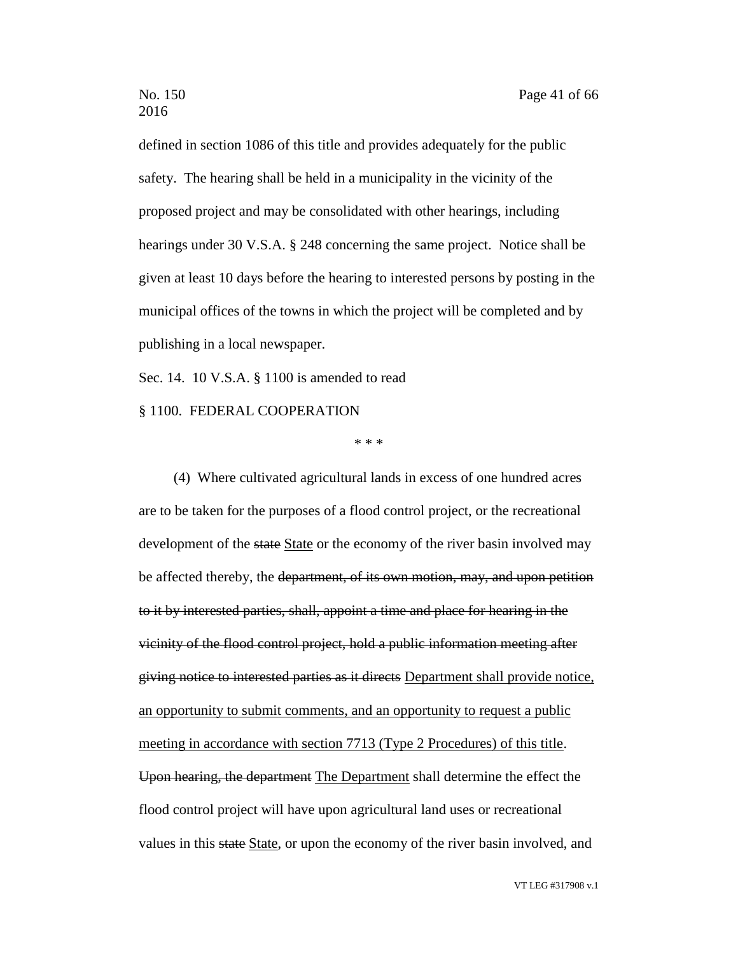defined in section 1086 of this title and provides adequately for the public safety. The hearing shall be held in a municipality in the vicinity of the proposed project and may be consolidated with other hearings, including hearings under 30 V.S.A. § 248 concerning the same project. Notice shall be given at least 10 days before the hearing to interested persons by posting in the municipal offices of the towns in which the project will be completed and by publishing in a local newspaper.

Sec. 14. 10 V.S.A. § 1100 is amended to read

§ 1100. FEDERAL COOPERATION

\* \* \*

(4) Where cultivated agricultural lands in excess of one hundred acres are to be taken for the purposes of a flood control project, or the recreational development of the state State or the economy of the river basin involved may be affected thereby, the department, of its own motion, may, and upon petition to it by interested parties, shall, appoint a time and place for hearing in the vicinity of the flood control project, hold a public information meeting after giving notice to interested parties as it directs Department shall provide notice, an opportunity to submit comments, and an opportunity to request a public meeting in accordance with section 7713 (Type 2 Procedures) of this title. Upon hearing, the department The Department shall determine the effect the flood control project will have upon agricultural land uses or recreational values in this state State, or upon the economy of the river basin involved, and

VT LEG #317908 v.1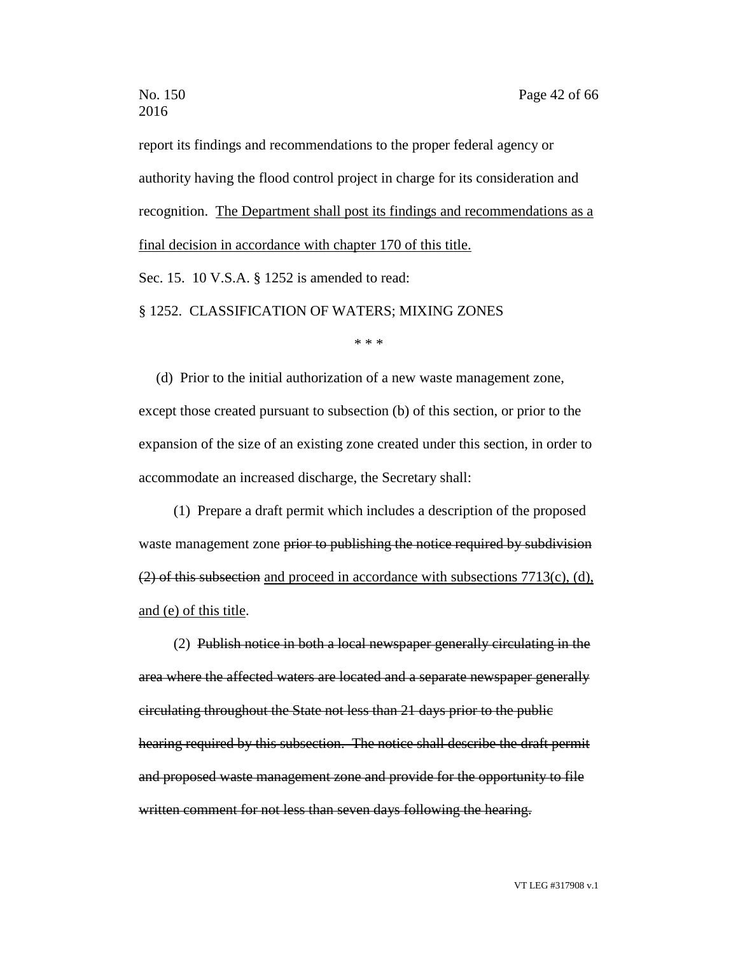report its findings and recommendations to the proper federal agency or authority having the flood control project in charge for its consideration and recognition. The Department shall post its findings and recommendations as a final decision in accordance with chapter 170 of this title. Sec. 15. 10 V.S.A. § 1252 is amended to read:

§ 1252. CLASSIFICATION OF WATERS; MIXING ZONES

\* \* \*

(d) Prior to the initial authorization of a new waste management zone, except those created pursuant to subsection (b) of this section, or prior to the expansion of the size of an existing zone created under this section, in order to accommodate an increased discharge, the Secretary shall:

(1) Prepare a draft permit which includes a description of the proposed waste management zone prior to publishing the notice required by subdivision  $(2)$  of this subsection and proceed in accordance with subsections 7713(c), (d), and (e) of this title.

(2) Publish notice in both a local newspaper generally circulating in the area where the affected waters are located and a separate newspaper generally circulating throughout the State not less than 21 days prior to the public hearing required by this subsection. The notice shall describe the draft permit and proposed waste management zone and provide for the opportunity to file written comment for not less than seven days following the hearing.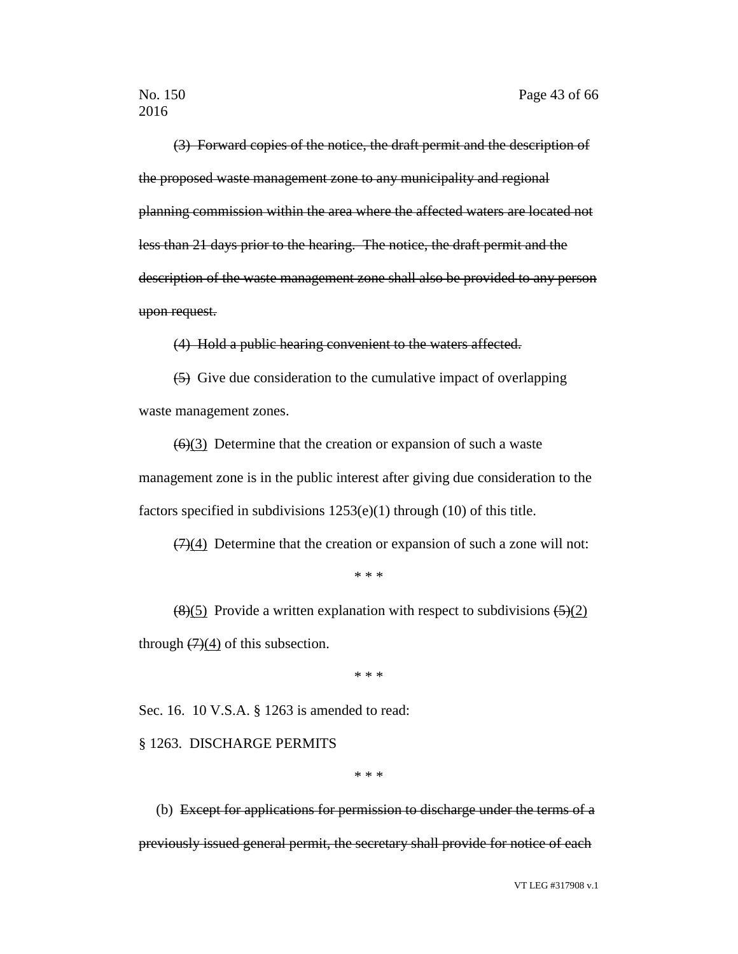(3) Forward copies of the notice, the draft permit and the description of the proposed waste management zone to any municipality and regional planning commission within the area where the affected waters are located not less than 21 days prior to the hearing. The notice, the draft permit and the description of the waste management zone shall also be provided to any person upon request.

(4) Hold a public hearing convenient to the waters affected.

(5) Give due consideration to the cumulative impact of overlapping waste management zones.

 $(6)(3)$  Determine that the creation or expansion of such a waste management zone is in the public interest after giving due consideration to the factors specified in subdivisions 1253(e)(1) through (10) of this title.

 $(7)(4)$  Determine that the creation or expansion of such a zone will not:

\* \* \*

 $(8)(5)$  Provide a written explanation with respect to subdivisions  $(5)(2)$ through  $(7)(4)$  of this subsection.

\* \* \*

Sec. 16. 10 V.S.A. § 1263 is amended to read:

### § 1263. DISCHARGE PERMITS

\* \* \*

(b) Except for applications for permission to discharge under the terms of a previously issued general permit, the secretary shall provide for notice of each

VT LEG #317908 v.1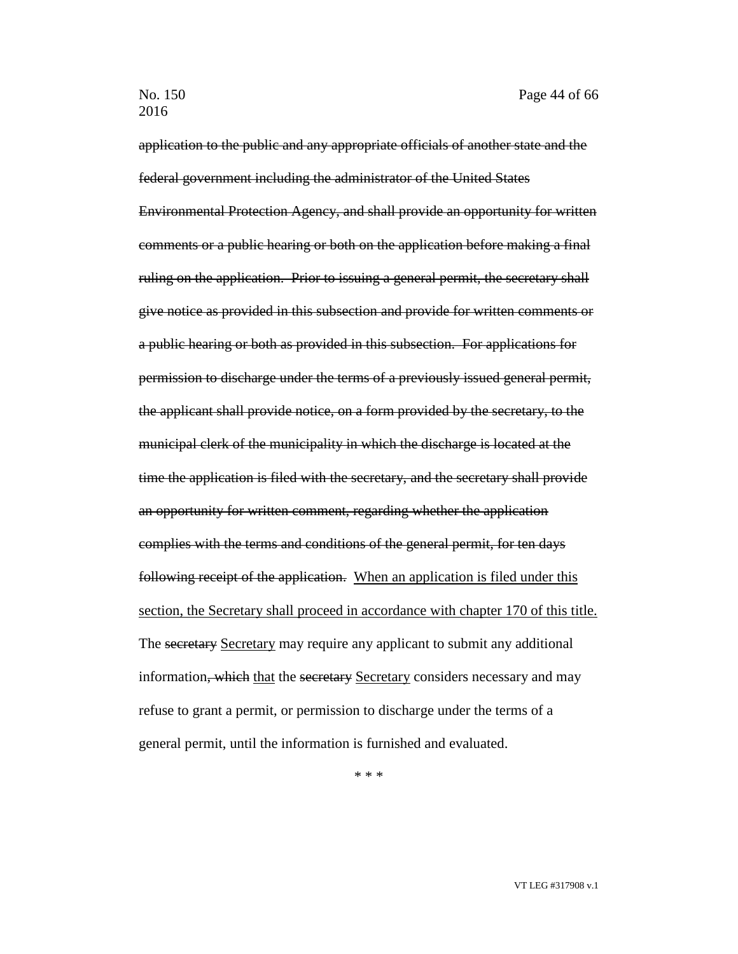application to the public and any appropriate officials of another state and the federal government including the administrator of the United States Environmental Protection Agency, and shall provide an opportunity for written comments or a public hearing or both on the application before making a final ruling on the application. Prior to issuing a general permit, the secretary shall give notice as provided in this subsection and provide for written comments or a public hearing or both as provided in this subsection. For applications for permission to discharge under the terms of a previously issued general permit, the applicant shall provide notice, on a form provided by the secretary, to the municipal clerk of the municipality in which the discharge is located at the time the application is filed with the secretary, and the secretary shall provide an opportunity for written comment, regarding whether the application complies with the terms and conditions of the general permit, for ten days following receipt of the application. When an application is filed under this section, the Secretary shall proceed in accordance with chapter 170 of this title. The secretary Secretary may require any applicant to submit any additional information, which that the secretary Secretary considers necessary and may refuse to grant a permit, or permission to discharge under the terms of a general permit, until the information is furnished and evaluated.

\* \* \*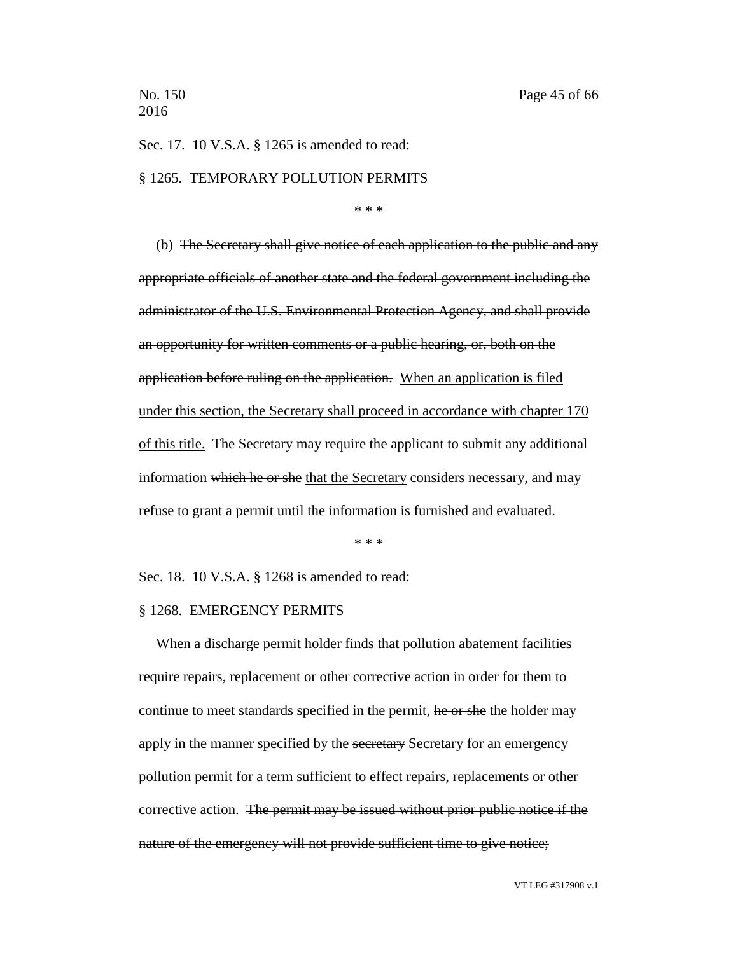Sec. 17. 10 V.S.A. § 1265 is amended to read:

### § 1265. TEMPORARY POLLUTION PERMITS

\* \* \*

(b) The Secretary shall give notice of each application to the public and any appropriate officials of another state and the federal government including the administrator of the U.S. Environmental Protection Agency, and shall provide an opportunity for written comments or a public hearing, or, both on the application before ruling on the application. When an application is filed under this section, the Secretary shall proceed in accordance with chapter 170 of this title. The Secretary may require the applicant to submit any additional information which he or she that the Secretary considers necessary, and may refuse to grant a permit until the information is furnished and evaluated.

\* \* \*

Sec. 18. 10 V.S.A. § 1268 is amended to read:

### § 1268. EMERGENCY PERMITS

When a discharge permit holder finds that pollution abatement facilities require repairs, replacement or other corrective action in order for them to continue to meet standards specified in the permit, he or she the holder may apply in the manner specified by the secretary Secretary for an emergency pollution permit for a term sufficient to effect repairs, replacements or other corrective action. The permit may be issued without prior public notice if the nature of the emergency will not provide sufficient time to give notice;

VT LEG #317908 v.1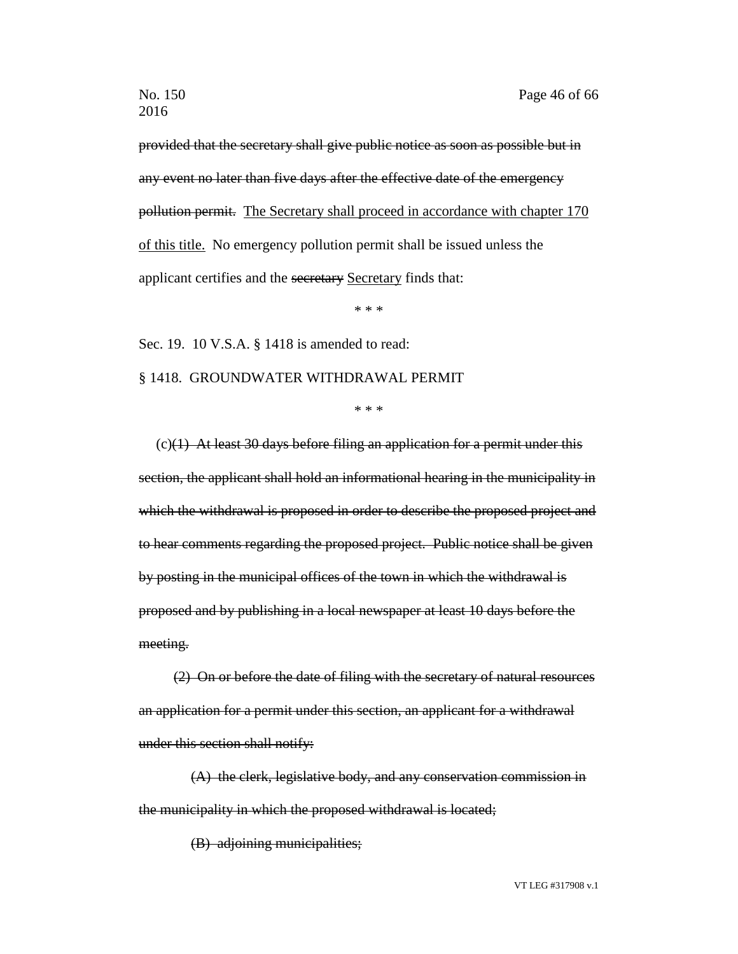provided that the secretary shall give public notice as soon as possible but in any event no later than five days after the effective date of the emergency pollution permit. The Secretary shall proceed in accordance with chapter 170 of this title. No emergency pollution permit shall be issued unless the applicant certifies and the secretary Secretary finds that:

\* \* \*

Sec. 19. 10 V.S.A. § 1418 is amended to read:

### § 1418. GROUNDWATER WITHDRAWAL PERMIT

\* \* \*

 $(c)(1)$  At least 30 days before filing an application for a permit under this section, the applicant shall hold an informational hearing in the municipality in which the withdrawal is proposed in order to describe the proposed project and to hear comments regarding the proposed project. Public notice shall be given by posting in the municipal offices of the town in which the withdrawal is proposed and by publishing in a local newspaper at least 10 days before the meeting.

(2) On or before the date of filing with the secretary of natural resources an application for a permit under this section, an applicant for a withdrawal under this section shall notify:

(A) the clerk, legislative body, and any conservation commission in the municipality in which the proposed withdrawal is located;

(B) adjoining municipalities;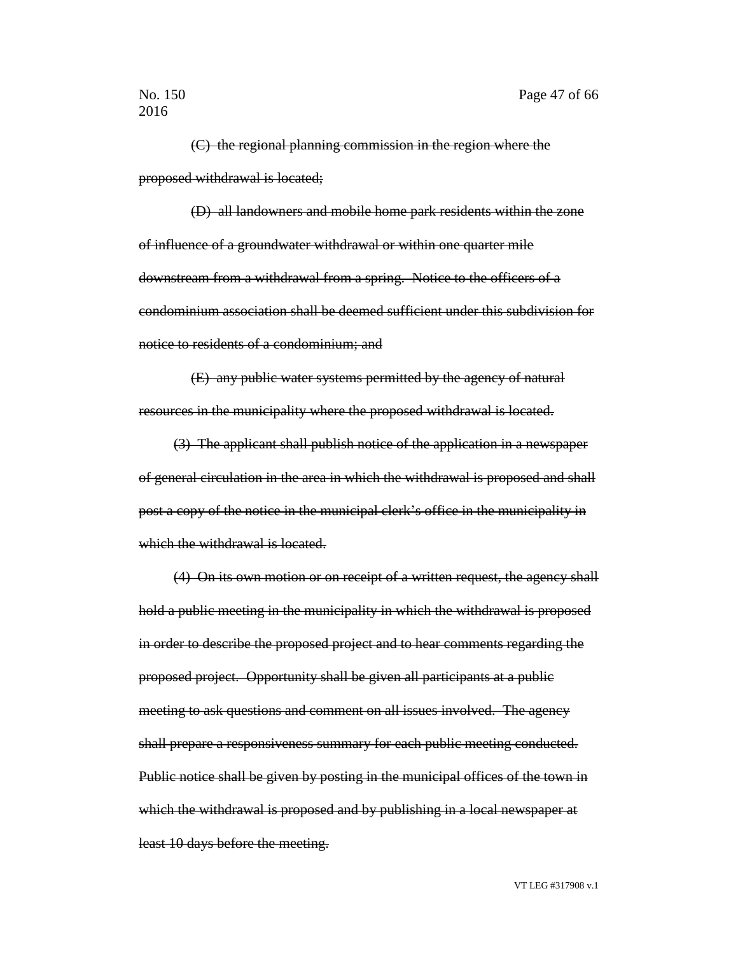(C) the regional planning commission in the region where the proposed withdrawal is located;

(D) all landowners and mobile home park residents within the zone of influence of a groundwater withdrawal or within one quarter mile downstream from a withdrawal from a spring. Notice to the officers of a condominium association shall be deemed sufficient under this subdivision for notice to residents of a condominium; and

(E) any public water systems permitted by the agency of natural resources in the municipality where the proposed withdrawal is located.

(3) The applicant shall publish notice of the application in a newspaper of general circulation in the area in which the withdrawal is proposed and shall post a copy of the notice in the municipal clerk's office in the municipality in which the withdrawal is located.

(4) On its own motion or on receipt of a written request, the agency shall hold a public meeting in the municipality in which the withdrawal is proposed in order to describe the proposed project and to hear comments regarding the proposed project. Opportunity shall be given all participants at a public meeting to ask questions and comment on all issues involved. The agency shall prepare a responsiveness summary for each public meeting conducted. Public notice shall be given by posting in the municipal offices of the town in which the withdrawal is proposed and by publishing in a local newspaper at least 10 days before the meeting.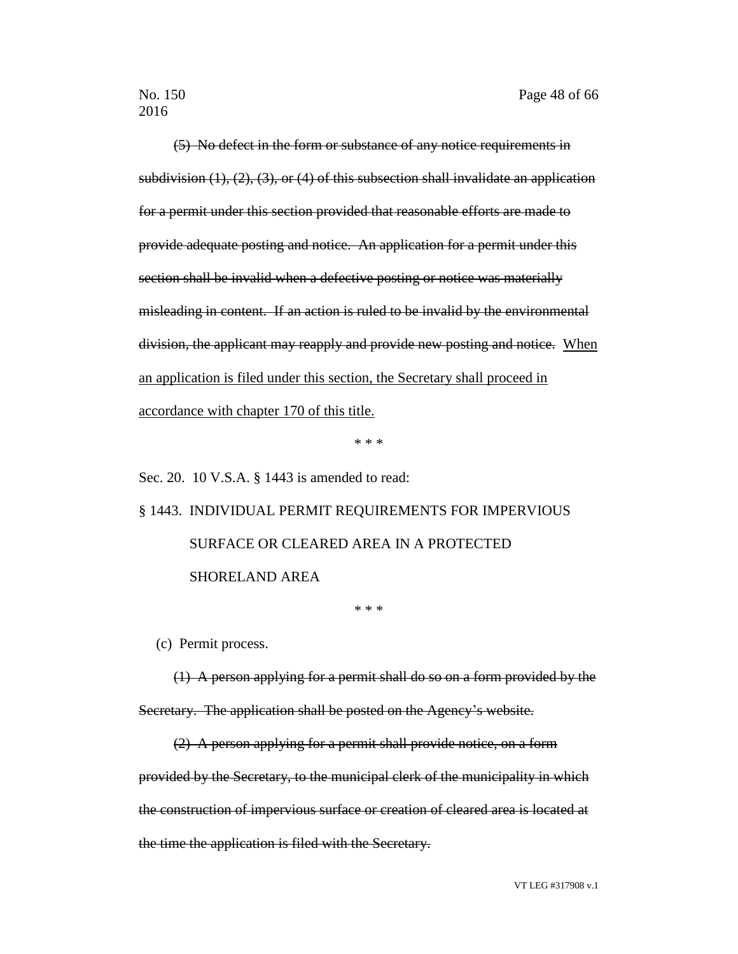(5) No defect in the form or substance of any notice requirements in subdivision  $(1)$ ,  $(2)$ ,  $(3)$ , or  $(4)$  of this subsection shall invalidate an application for a permit under this section provided that reasonable efforts are made to provide adequate posting and notice. An application for a permit under this section shall be invalid when a defective posting or notice was materially misleading in content. If an action is ruled to be invalid by the environmental division, the applicant may reapply and provide new posting and notice. When an application is filed under this section, the Secretary shall proceed in accordance with chapter 170 of this title.

\* \* \*

Sec. 20. 10 V.S.A. § 1443 is amended to read:

§ 1443. INDIVIDUAL PERMIT REQUIREMENTS FOR IMPERVIOUS SURFACE OR CLEARED AREA IN A PROTECTED SHORELAND AREA

\* \* \*

(c) Permit process.

(1) A person applying for a permit shall do so on a form provided by the Secretary. The application shall be posted on the Agency's website.

(2) A person applying for a permit shall provide notice, on a form provided by the Secretary, to the municipal clerk of the municipality in which the construction of impervious surface or creation of cleared area is located at the time the application is filed with the Secretary.

VT LEG #317908 v.1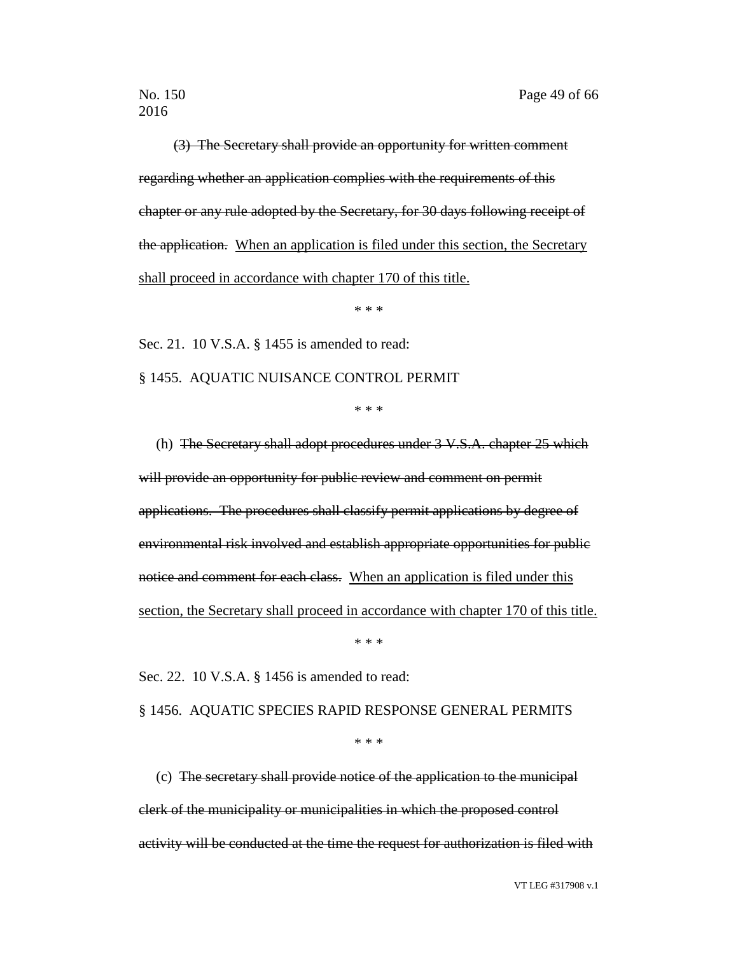(3) The Secretary shall provide an opportunity for written comment regarding whether an application complies with the requirements of this chapter or any rule adopted by the Secretary, for 30 days following receipt of the application. When an application is filed under this section, the Secretary shall proceed in accordance with chapter 170 of this title.

\* \* \*

Sec. 21. 10 V.S.A. § 1455 is amended to read:

§ 1455. AQUATIC NUISANCE CONTROL PERMIT

\* \* \*

(h) The Secretary shall adopt procedures under 3 V.S.A. chapter 25 which will provide an opportunity for public review and comment on permit applications. The procedures shall classify permit applications by degree of environmental risk involved and establish appropriate opportunities for public notice and comment for each class. When an application is filed under this section, the Secretary shall proceed in accordance with chapter 170 of this title.

\* \* \*

Sec. 22. 10 V.S.A. § 1456 is amended to read:

§ 1456. AQUATIC SPECIES RAPID RESPONSE GENERAL PERMITS

\* \* \*

(c) The secretary shall provide notice of the application to the municipal clerk of the municipality or municipalities in which the proposed control activity will be conducted at the time the request for authorization is filed with

VT LEG #317908 v.1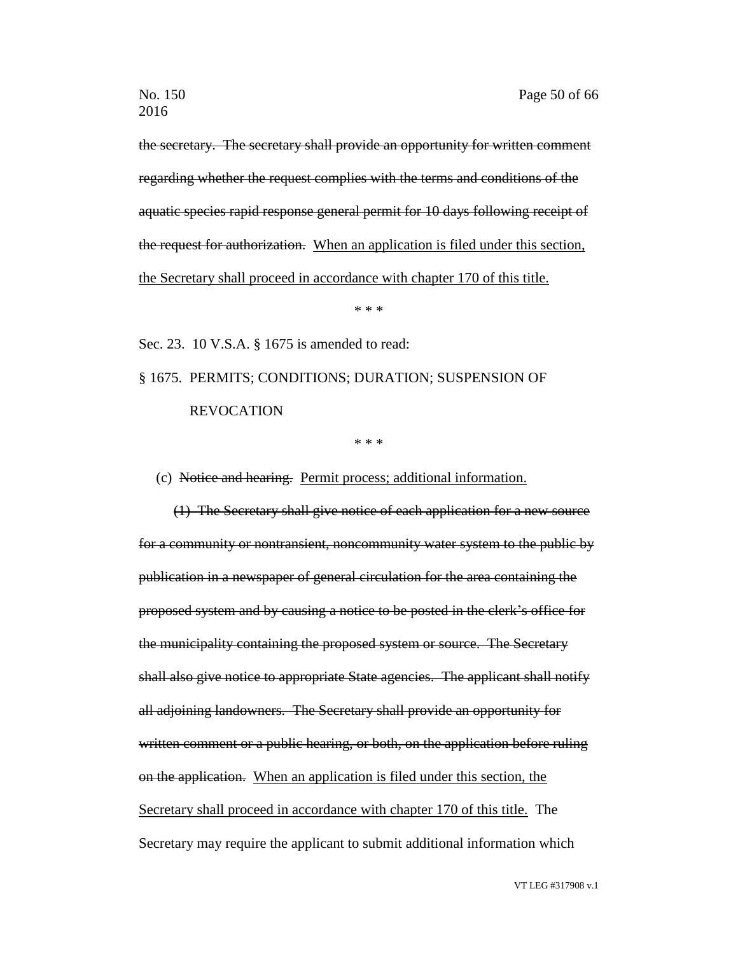the secretary. The secretary shall provide an opportunity for written comment regarding whether the request complies with the terms and conditions of the aquatic species rapid response general permit for 10 days following receipt of the request for authorization. When an application is filed under this section, the Secretary shall proceed in accordance with chapter 170 of this title.

\* \* \*

Sec. 23. 10 V.S.A. § 1675 is amended to read:

# § 1675. PERMITS; CONDITIONS; DURATION; SUSPENSION OF REVOCATION

\* \* \*

(c) Notice and hearing. Permit process; additional information.

(1) The Secretary shall give notice of each application for a new source for a community or nontransient, noncommunity water system to the public by publication in a newspaper of general circulation for the area containing the proposed system and by causing a notice to be posted in the clerk's office for the municipality containing the proposed system or source. The Secretary shall also give notice to appropriate State agencies. The applicant shall notify all adjoining landowners. The Secretary shall provide an opportunity for written comment or a public hearing, or both, on the application before ruling on the application. When an application is filed under this section, the Secretary shall proceed in accordance with chapter 170 of this title. The Secretary may require the applicant to submit additional information which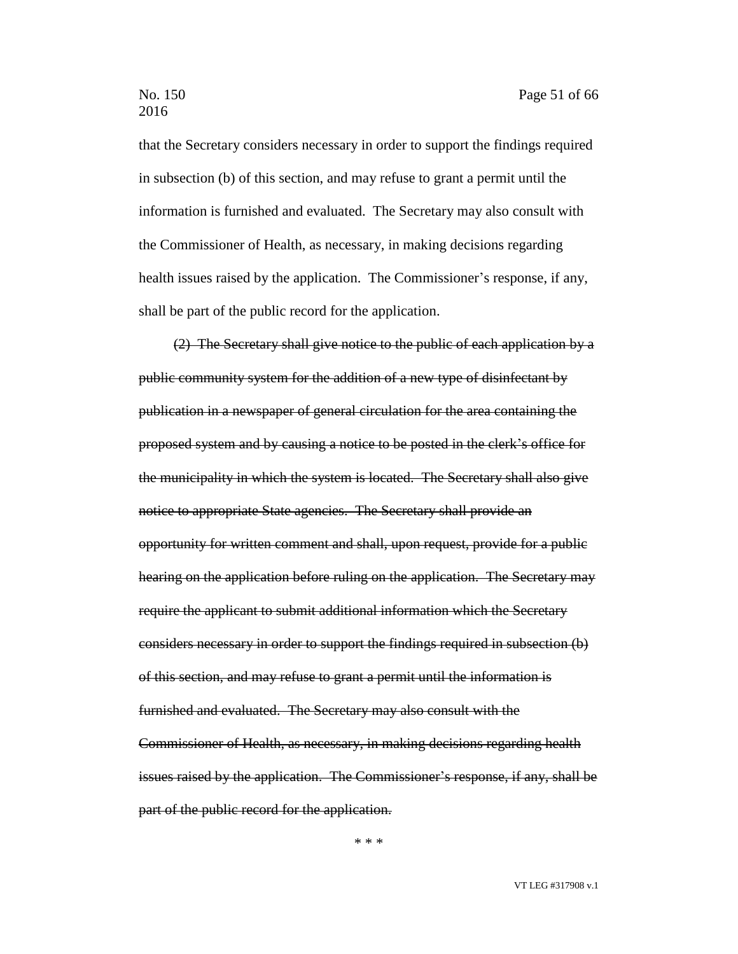that the Secretary considers necessary in order to support the findings required in subsection (b) of this section, and may refuse to grant a permit until the information is furnished and evaluated. The Secretary may also consult with the Commissioner of Health, as necessary, in making decisions regarding health issues raised by the application. The Commissioner's response, if any, shall be part of the public record for the application.

(2) The Secretary shall give notice to the public of each application by a public community system for the addition of a new type of disinfectant by publication in a newspaper of general circulation for the area containing the proposed system and by causing a notice to be posted in the clerk's office for the municipality in which the system is located. The Secretary shall also give notice to appropriate State agencies. The Secretary shall provide an opportunity for written comment and shall, upon request, provide for a public hearing on the application before ruling on the application. The Secretary may require the applicant to submit additional information which the Secretary considers necessary in order to support the findings required in subsection (b) of this section, and may refuse to grant a permit until the information is furnished and evaluated. The Secretary may also consult with the Commissioner of Health, as necessary, in making decisions regarding health issues raised by the application. The Commissioner's response, if any, shall be part of the public record for the application.

\* \* \*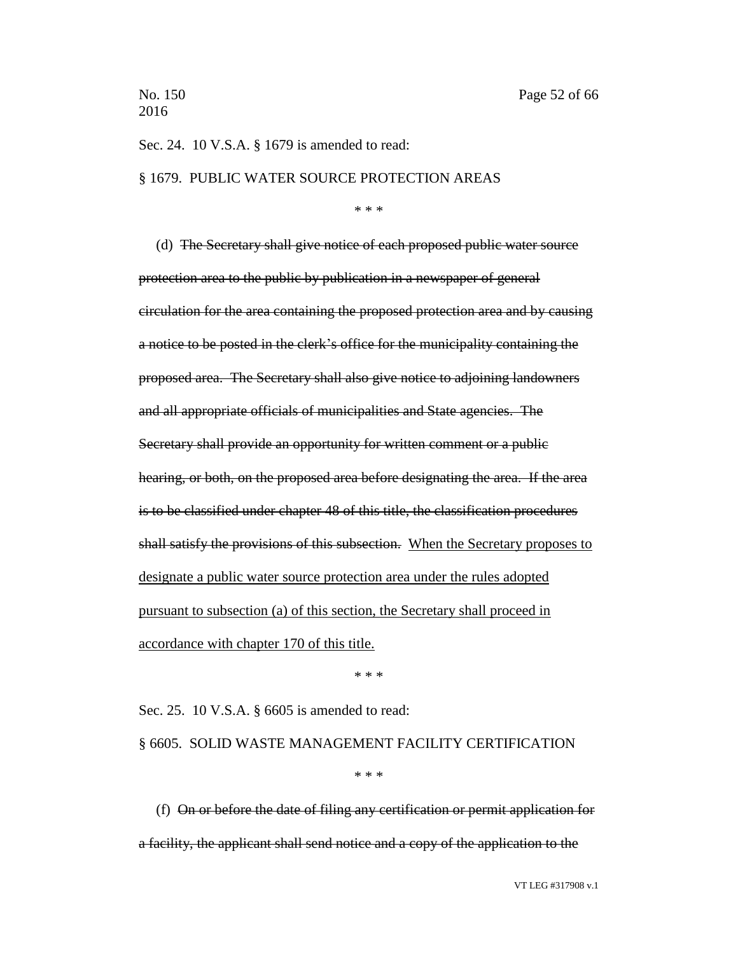Sec. 24. 10 V.S.A. § 1679 is amended to read:

### § 1679. PUBLIC WATER SOURCE PROTECTION AREAS

\* \* \*

(d) The Secretary shall give notice of each proposed public water source protection area to the public by publication in a newspaper of general circulation for the area containing the proposed protection area and by causing a notice to be posted in the clerk's office for the municipality containing the proposed area. The Secretary shall also give notice to adjoining landowners and all appropriate officials of municipalities and State agencies. The Secretary shall provide an opportunity for written comment or a public hearing, or both, on the proposed area before designating the area. If the area is to be classified under chapter 48 of this title, the classification procedures shall satisfy the provisions of this subsection. When the Secretary proposes to designate a public water source protection area under the rules adopted pursuant to subsection (a) of this section, the Secretary shall proceed in accordance with chapter 170 of this title.

\* \* \*

Sec. 25. 10 V.S.A. § 6605 is amended to read:

§ 6605. SOLID WASTE MANAGEMENT FACILITY CERTIFICATION

\* \* \*

(f) On or before the date of filing any certification or permit application for a facility, the applicant shall send notice and a copy of the application to the

VT LEG #317908 v.1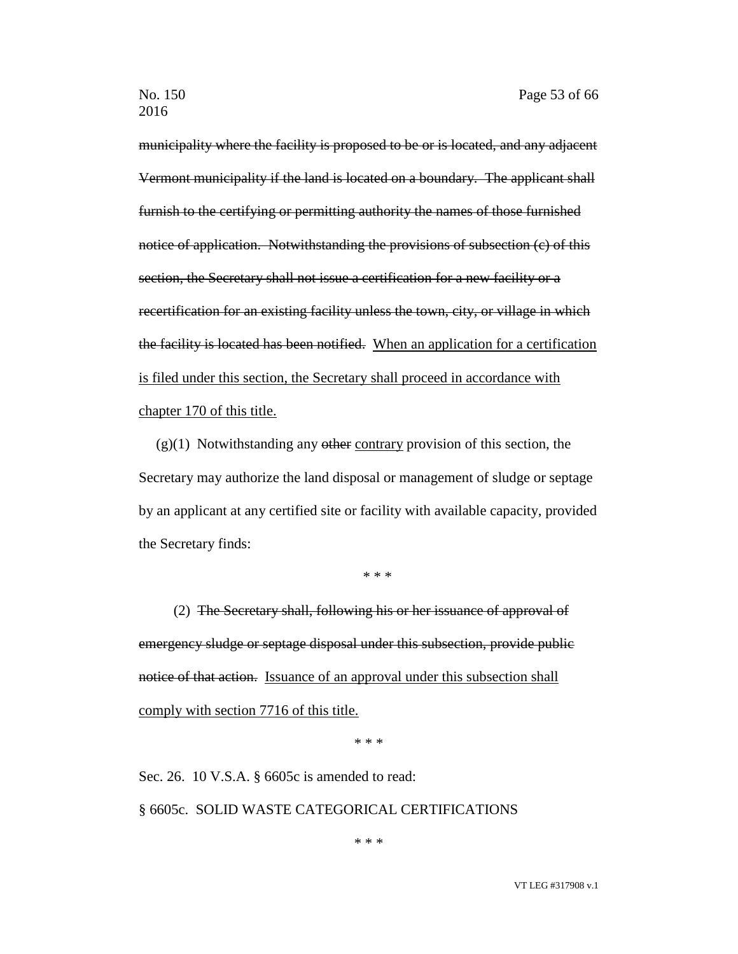municipality where the facility is proposed to be or is located, and any adjacent Vermont municipality if the land is located on a boundary. The applicant shall furnish to the certifying or permitting authority the names of those furnished notice of application. Notwithstanding the provisions of subsection (c) of this section, the Secretary shall not issue a certification for a new facility or a recertification for an existing facility unless the town, city, or village in which the facility is located has been notified. When an application for a certification is filed under this section, the Secretary shall proceed in accordance with chapter 170 of this title.

 $(g)(1)$  Notwithstanding any other contrary provision of this section, the Secretary may authorize the land disposal or management of sludge or septage by an applicant at any certified site or facility with available capacity, provided the Secretary finds:

\* \* \*

(2) The Secretary shall, following his or her issuance of approval of emergency sludge or septage disposal under this subsection, provide public notice of that action. Issuance of an approval under this subsection shall comply with section 7716 of this title.

\* \* \*

Sec. 26. 10 V.S.A. § 6605c is amended to read: § 6605c. SOLID WASTE CATEGORICAL CERTIFICATIONS

\* \* \*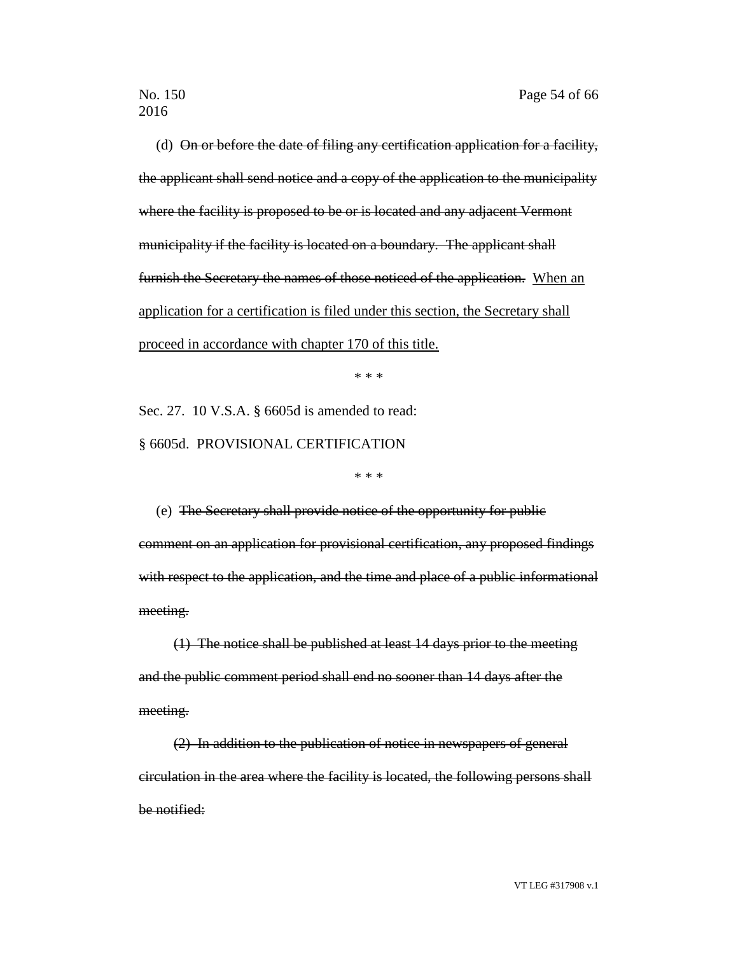(d) On or before the date of filing any certification application for a facility, the applicant shall send notice and a copy of the application to the municipality where the facility is proposed to be or is located and any adjacent Vermont municipality if the facility is located on a boundary. The applicant shall furnish the Secretary the names of those noticed of the application. When an application for a certification is filed under this section, the Secretary shall proceed in accordance with chapter 170 of this title.

\* \* \*

Sec. 27. 10 V.S.A. § 6605d is amended to read: § 6605d. PROVISIONAL CERTIFICATION

\* \* \*

(e) The Secretary shall provide notice of the opportunity for public comment on an application for provisional certification, any proposed findings with respect to the application, and the time and place of a public informational meeting.

(1) The notice shall be published at least 14 days prior to the meeting and the public comment period shall end no sooner than 14 days after the meeting.

(2) In addition to the publication of notice in newspapers of general circulation in the area where the facility is located, the following persons shall be notified: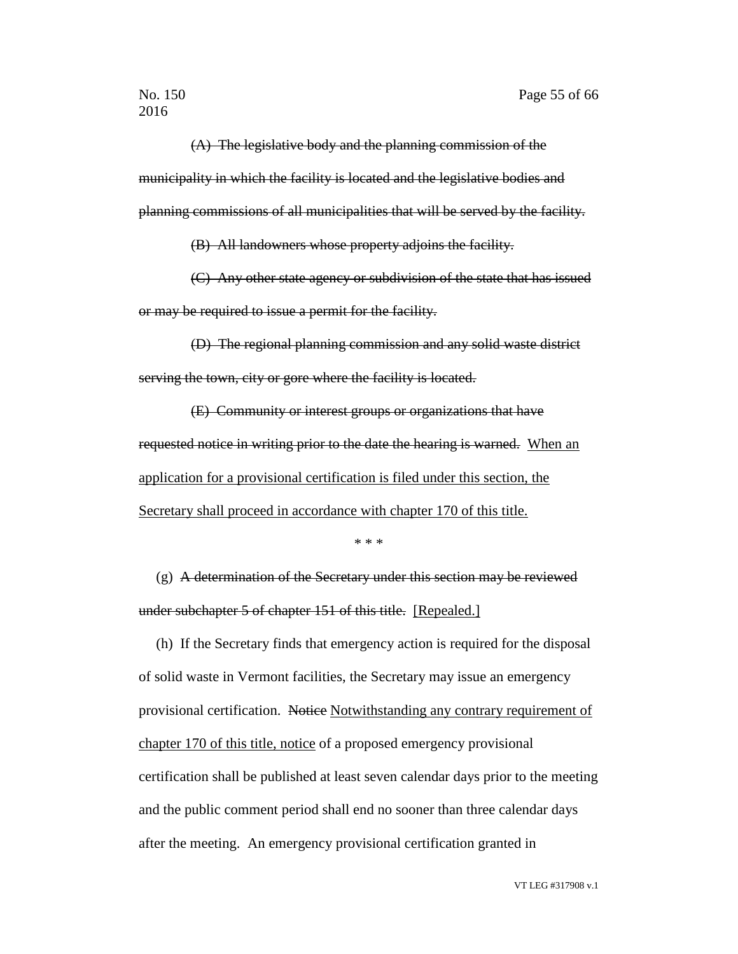(A) The legislative body and the planning commission of the municipality in which the facility is located and the legislative bodies and planning commissions of all municipalities that will be served by the facility.

(B) All landowners whose property adjoins the facility.

(C) Any other state agency or subdivision of the state that has issued or may be required to issue a permit for the facility.

(D) The regional planning commission and any solid waste district serving the town, city or gore where the facility is located.

(E) Community or interest groups or organizations that have requested notice in writing prior to the date the hearing is warned. When an application for a provisional certification is filed under this section, the Secretary shall proceed in accordance with chapter 170 of this title.

\* \* \*

(g) A determination of the Secretary under this section may be reviewed under subchapter 5 of chapter 151 of this title. [Repealed.]

(h) If the Secretary finds that emergency action is required for the disposal of solid waste in Vermont facilities, the Secretary may issue an emergency provisional certification. Notice Notwithstanding any contrary requirement of chapter 170 of this title, notice of a proposed emergency provisional certification shall be published at least seven calendar days prior to the meeting and the public comment period shall end no sooner than three calendar days after the meeting. An emergency provisional certification granted in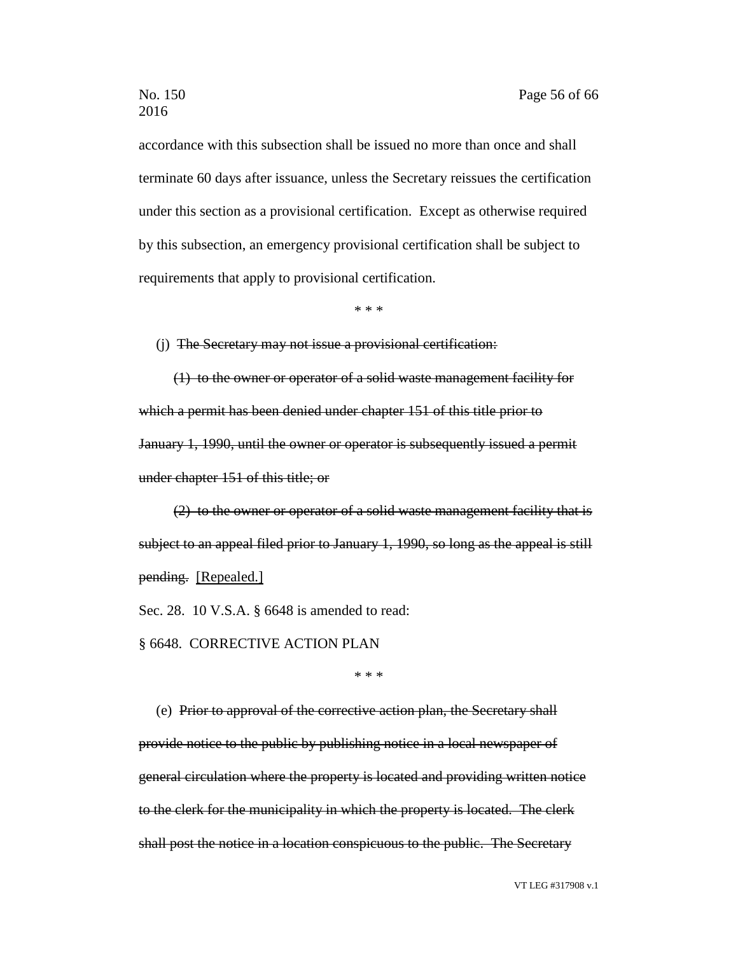accordance with this subsection shall be issued no more than once and shall terminate 60 days after issuance, unless the Secretary reissues the certification under this section as a provisional certification. Except as otherwise required by this subsection, an emergency provisional certification shall be subject to requirements that apply to provisional certification.

\* \* \*

(j) The Secretary may not issue a provisional certification:

(1) to the owner or operator of a solid waste management facility for which a permit has been denied under chapter 151 of this title prior to January 1, 1990, until the owner or operator is subsequently issued a permit under chapter 151 of this title; or

(2) to the owner or operator of a solid waste management facility that is subject to an appeal filed prior to January 1, 1990, so long as the appeal is still pending. [Repealed.]

Sec. 28. 10 V.S.A. § 6648 is amended to read:

§ 6648. CORRECTIVE ACTION PLAN

\* \* \*

(e) Prior to approval of the corrective action plan, the Secretary shall provide notice to the public by publishing notice in a local newspaper of general circulation where the property is located and providing written notice to the clerk for the municipality in which the property is located. The clerk shall post the notice in a location conspicuous to the public. The Secretary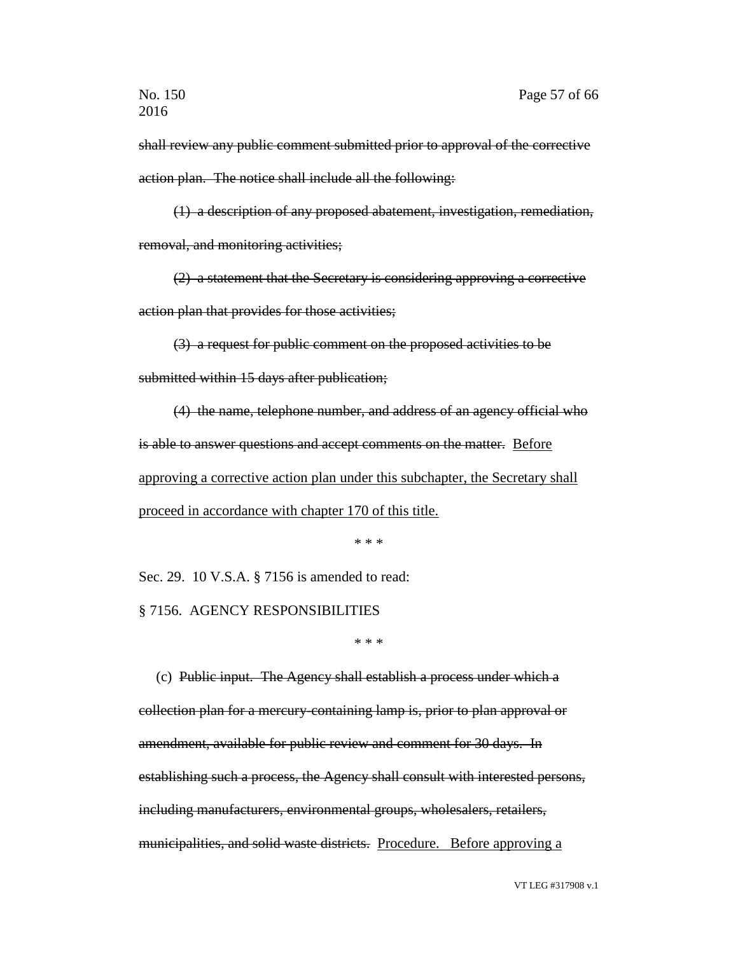shall review any public comment submitted prior to approval of the corrective action plan. The notice shall include all the following:

(1) a description of any proposed abatement, investigation, remediation, removal, and monitoring activities;

(2) a statement that the Secretary is considering approving a corrective action plan that provides for those activities;

(3) a request for public comment on the proposed activities to be

submitted within 15 days after publication;

(4) the name, telephone number, and address of an agency official who is able to answer questions and accept comments on the matter. Before approving a corrective action plan under this subchapter, the Secretary shall proceed in accordance with chapter 170 of this title.

\* \* \*

Sec. 29. 10 V.S.A. § 7156 is amended to read:

§ 7156. AGENCY RESPONSIBILITIES

\* \* \*

(c) Public input. The Agency shall establish a process under which a collection plan for a mercury-containing lamp is, prior to plan approval or amendment, available for public review and comment for 30 days. In establishing such a process, the Agency shall consult with interested persons, including manufacturers, environmental groups, wholesalers, retailers, municipalities, and solid waste districts. Procedure. Before approving a

VT LEG #317908 v.1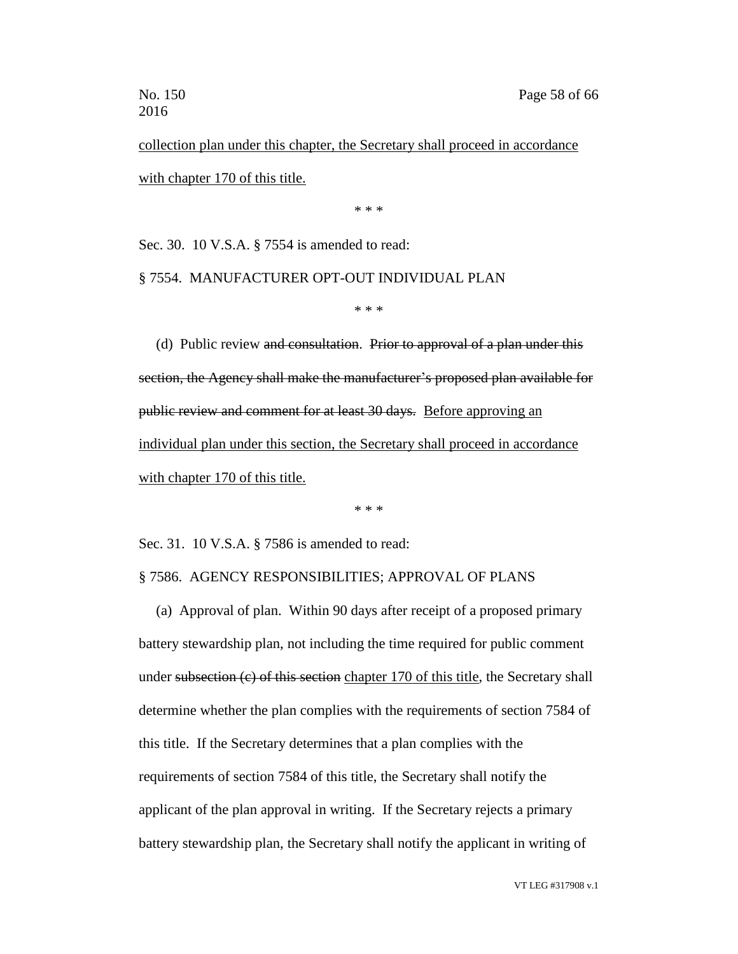collection plan under this chapter, the Secretary shall proceed in accordance with chapter 170 of this title.

\* \* \*

Sec. 30. 10 V.S.A. § 7554 is amended to read:

§ 7554. MANUFACTURER OPT-OUT INDIVIDUAL PLAN

\* \* \*

(d) Public review and consultation. Prior to approval of a plan under this section, the Agency shall make the manufacturer's proposed plan available for public review and comment for at least 30 days. Before approving an individual plan under this section, the Secretary shall proceed in accordance with chapter 170 of this title.

\* \* \*

Sec. 31. 10 V.S.A. § 7586 is amended to read:

### § 7586. AGENCY RESPONSIBILITIES; APPROVAL OF PLANS

(a) Approval of plan. Within 90 days after receipt of a proposed primary battery stewardship plan, not including the time required for public comment under subsection (c) of this section chapter 170 of this title, the Secretary shall determine whether the plan complies with the requirements of section 7584 of this title. If the Secretary determines that a plan complies with the requirements of section 7584 of this title, the Secretary shall notify the applicant of the plan approval in writing. If the Secretary rejects a primary battery stewardship plan, the Secretary shall notify the applicant in writing of

VT LEG #317908 v.1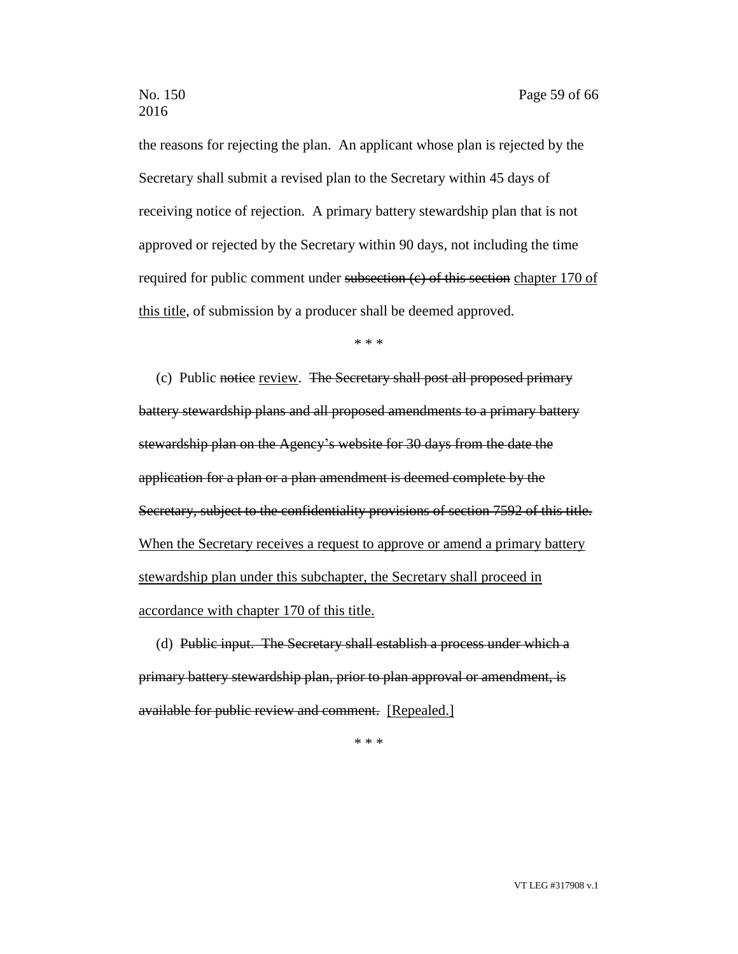the reasons for rejecting the plan. An applicant whose plan is rejected by the Secretary shall submit a revised plan to the Secretary within 45 days of receiving notice of rejection. A primary battery stewardship plan that is not approved or rejected by the Secretary within 90 days, not including the time required for public comment under subsection (e) of this section chapter 170 of this title, of submission by a producer shall be deemed approved.

\* \* \*

(c) Public notice review. The Secretary shall post all proposed primary battery stewardship plans and all proposed amendments to a primary battery stewardship plan on the Agency's website for 30 days from the date the application for a plan or a plan amendment is deemed complete by the Secretary, subject to the confidentiality provisions of section 7592 of this title. When the Secretary receives a request to approve or amend a primary battery stewardship plan under this subchapter, the Secretary shall proceed in accordance with chapter 170 of this title.

(d) Public input. The Secretary shall establish a process under which a primary battery stewardship plan, prior to plan approval or amendment, is available for public review and comment. [Repealed.]

\* \* \*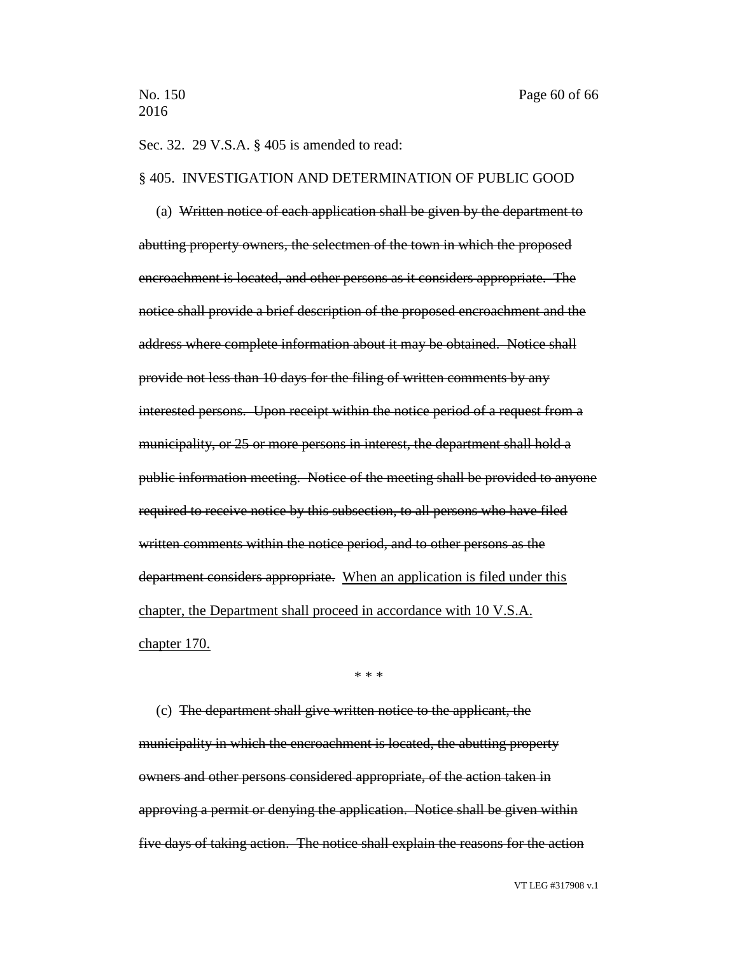Sec. 32. 29 V.S.A. § 405 is amended to read:

### § 405. INVESTIGATION AND DETERMINATION OF PUBLIC GOOD

(a) Written notice of each application shall be given by the department to abutting property owners, the selectmen of the town in which the proposed encroachment is located, and other persons as it considers appropriate. The notice shall provide a brief description of the proposed encroachment and the address where complete information about it may be obtained. Notice shall provide not less than 10 days for the filing of written comments by any interested persons. Upon receipt within the notice period of a request from a municipality, or 25 or more persons in interest, the department shall hold a public information meeting. Notice of the meeting shall be provided to anyone required to receive notice by this subsection, to all persons who have filed written comments within the notice period, and to other persons as the department considers appropriate. When an application is filed under this chapter, the Department shall proceed in accordance with 10 V.S.A. chapter 170.

\* \* \*

(c) The department shall give written notice to the applicant, the municipality in which the encroachment is located, the abutting property owners and other persons considered appropriate, of the action taken in approving a permit or denying the application. Notice shall be given within five days of taking action. The notice shall explain the reasons for the action

VT LEG #317908 v.1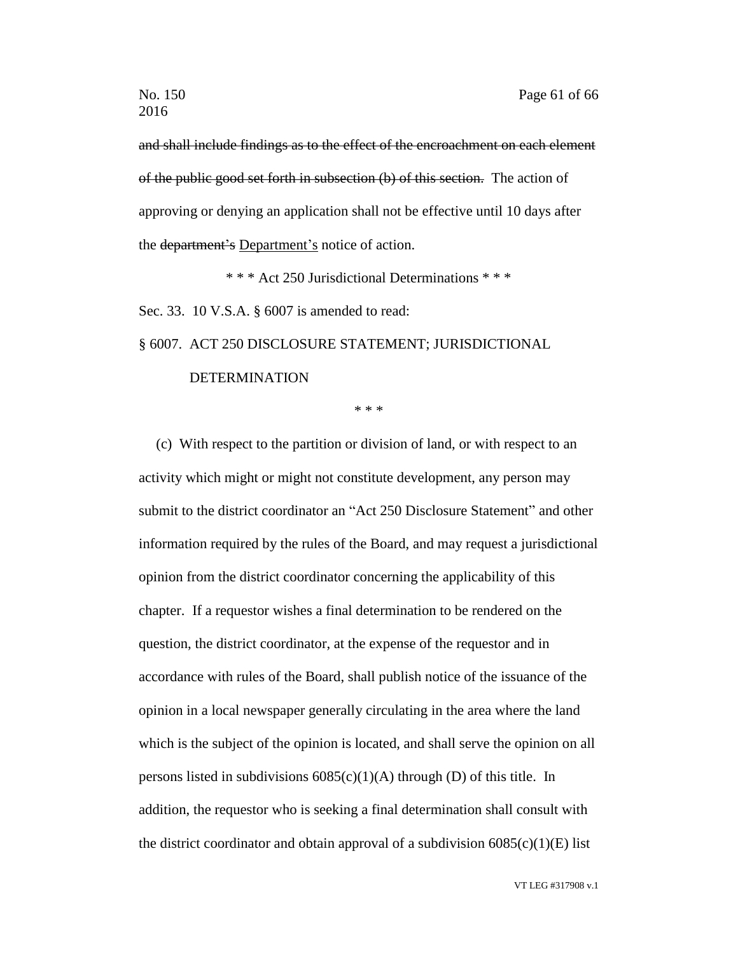and shall include findings as to the effect of the encroachment on each element of the public good set forth in subsection (b) of this section. The action of approving or denying an application shall not be effective until 10 days after the department's Department's notice of action.

\* \* \* Act 250 Jurisdictional Determinations \* \* \*

Sec. 33. 10 V.S.A. § 6007 is amended to read:

§ 6007. ACT 250 DISCLOSURE STATEMENT; JURISDICTIONAL

## DETERMINATION

\* \* \*

(c) With respect to the partition or division of land, or with respect to an activity which might or might not constitute development, any person may submit to the district coordinator an "Act 250 Disclosure Statement" and other information required by the rules of the Board, and may request a jurisdictional opinion from the district coordinator concerning the applicability of this chapter. If a requestor wishes a final determination to be rendered on the question, the district coordinator, at the expense of the requestor and in accordance with rules of the Board, shall publish notice of the issuance of the opinion in a local newspaper generally circulating in the area where the land which is the subject of the opinion is located, and shall serve the opinion on all persons listed in subdivisions  $6085(c)(1)(A)$  through (D) of this title. In addition, the requestor who is seeking a final determination shall consult with the district coordinator and obtain approval of a subdivision  $6085(c)(1)(E)$  list

VT LEG #317908 v.1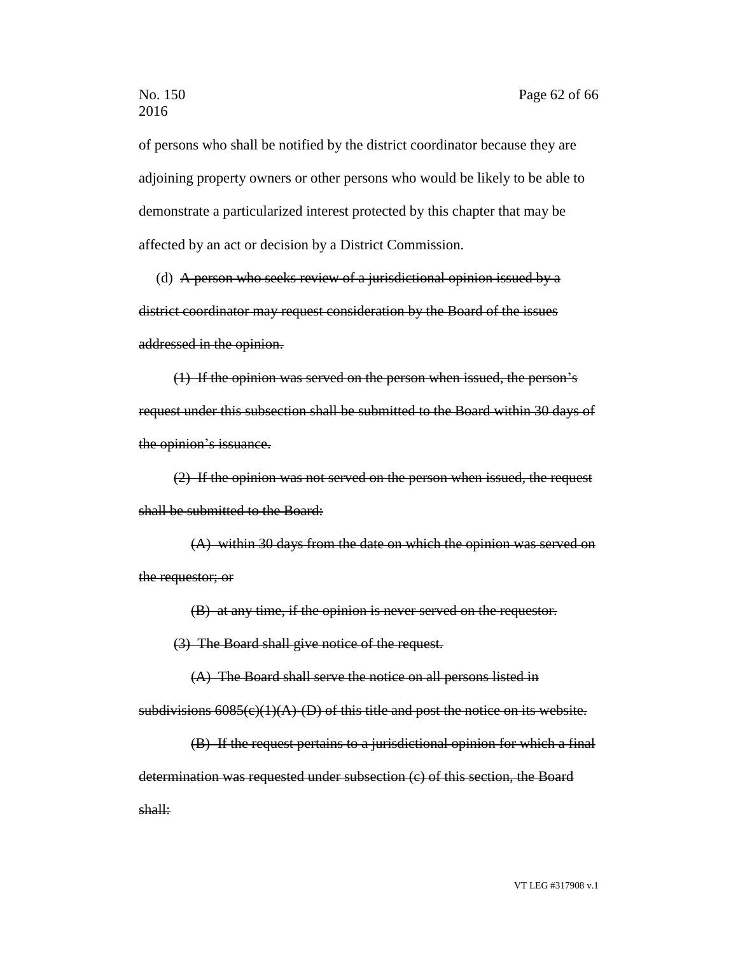of persons who shall be notified by the district coordinator because they are adjoining property owners or other persons who would be likely to be able to demonstrate a particularized interest protected by this chapter that may be affected by an act or decision by a District Commission.

(d) A person who seeks review of a jurisdictional opinion issued by a district coordinator may request consideration by the Board of the issues addressed in the opinion.

(1) If the opinion was served on the person when issued, the person's request under this subsection shall be submitted to the Board within 30 days of the opinion's issuance.

(2) If the opinion was not served on the person when issued, the request shall be submitted to the Board:

(A) within 30 days from the date on which the opinion was served on the requestor; or

(B) at any time, if the opinion is never served on the requestor.

(3) The Board shall give notice of the request.

(A) The Board shall serve the notice on all persons listed in

subdivisions  $6085(c)(1)(A)$ -(D) of this title and post the notice on its website.

(B) If the request pertains to a jurisdictional opinion for which a final determination was requested under subsection (c) of this section, the Board shall: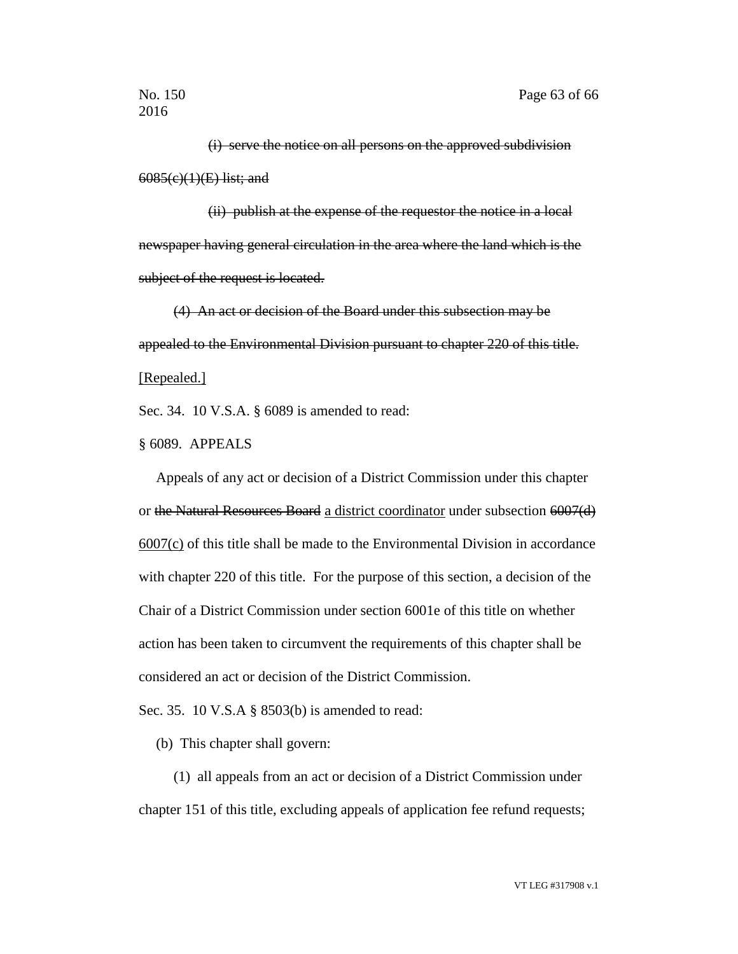(i) serve the notice on all persons on the approved subdivision 6085(c)(1)(E) list; and

(ii) publish at the expense of the requestor the notice in a local newspaper having general circulation in the area where the land which is the subject of the request is located.

(4) An act or decision of the Board under this subsection may be appealed to the Environmental Division pursuant to chapter 220 of this title. [Repealed.]

Sec. 34. 10 V.S.A. § 6089 is amended to read:

§ 6089. APPEALS

Appeals of any act or decision of a District Commission under this chapter or the Natural Resources Board a district coordinator under subsection 6007(d) 6007(c) of this title shall be made to the Environmental Division in accordance with chapter 220 of this title. For the purpose of this section, a decision of the Chair of a District Commission under section 6001e of this title on whether action has been taken to circumvent the requirements of this chapter shall be considered an act or decision of the District Commission.

Sec. 35. 10 V.S.A § 8503(b) is amended to read:

(b) This chapter shall govern:

(1) all appeals from an act or decision of a District Commission under chapter 151 of this title, excluding appeals of application fee refund requests;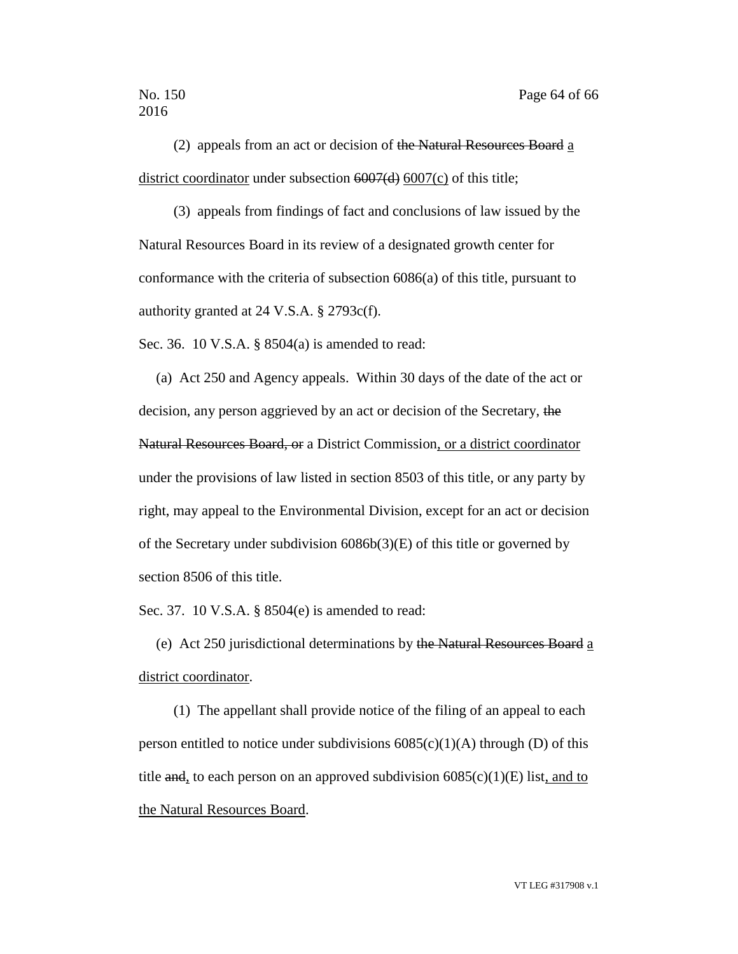(2) appeals from an act or decision of the Natural Resources Board  $\underline{a}$ district coordinator under subsection 6007(d) 6007(c) of this title;

(3) appeals from findings of fact and conclusions of law issued by the Natural Resources Board in its review of a designated growth center for conformance with the criteria of subsection 6086(a) of this title, pursuant to authority granted at 24 V.S.A. § 2793c(f).

Sec. 36. 10 V.S.A. § 8504(a) is amended to read:

(a) Act 250 and Agency appeals. Within 30 days of the date of the act or decision, any person aggrieved by an act or decision of the Secretary, the Natural Resources Board, or a District Commission, or a district coordinator under the provisions of law listed in section 8503 of this title, or any party by right, may appeal to the Environmental Division, except for an act or decision of the Secretary under subdivision 6086b(3)(E) of this title or governed by section 8506 of this title.

Sec. 37. 10 V.S.A. § 8504(e) is amended to read:

(e) Act 250 jurisdictional determinations by the Natural Resources Board a district coordinator.

(1) The appellant shall provide notice of the filing of an appeal to each person entitled to notice under subdivisions  $6085(c)(1)(A)$  through (D) of this title and, to each person on an approved subdivision  $6085(c)(1)(E)$  list, and to the Natural Resources Board.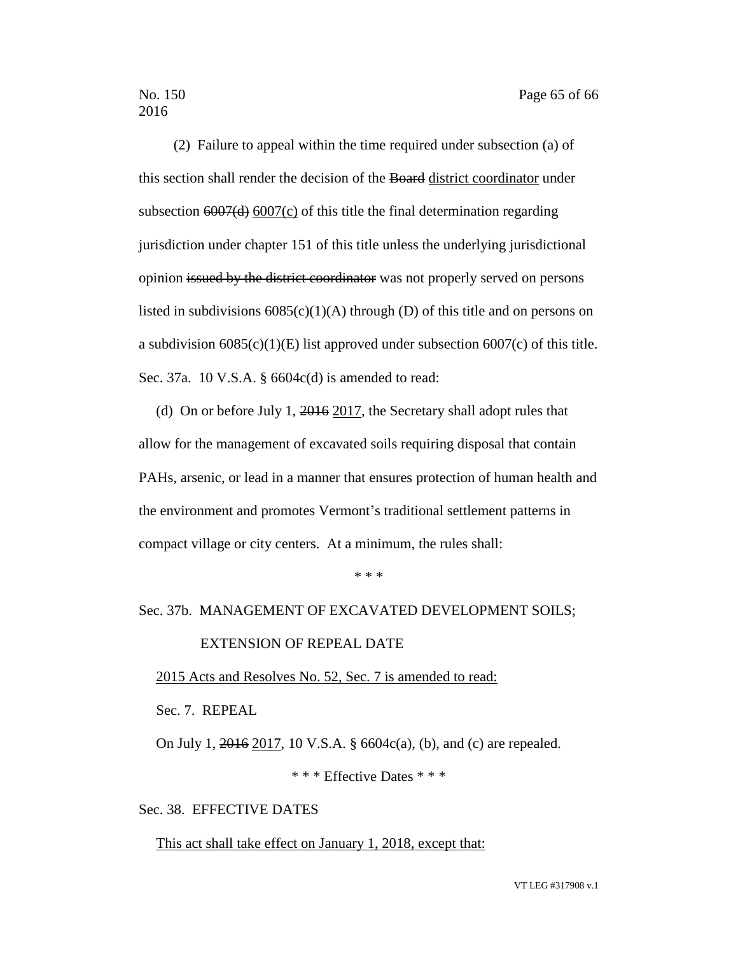(2) Failure to appeal within the time required under subsection (a) of this section shall render the decision of the Board district coordinator under subsection 6007(d) 6007(c) of this title the final determination regarding jurisdiction under chapter 151 of this title unless the underlying jurisdictional opinion issued by the district coordinator was not properly served on persons listed in subdivisions  $6085(c)(1)(A)$  through (D) of this title and on persons on a subdivision  $6085(c)(1)(E)$  list approved under subsection  $6007(c)$  of this title. Sec. 37a. 10 V.S.A. § 6604c(d) is amended to read:

(d) On or before July 1, 2016 2017, the Secretary shall adopt rules that allow for the management of excavated soils requiring disposal that contain PAHs, arsenic, or lead in a manner that ensures protection of human health and the environment and promotes Vermont's traditional settlement patterns in compact village or city centers. At a minimum, the rules shall:

\* \* \*

### Sec. 37b. MANAGEMENT OF EXCAVATED DEVELOPMENT SOILS;

### EXTENSION OF REPEAL DATE

#### 2015 Acts and Resolves No. 52, Sec. 7 is amended to read:

Sec. 7. REPEAL

On July 1, 2016 2017, 10 V.S.A. § 6604c(a), (b), and (c) are repealed.

\* \* \* Effective Dates \* \* \*

### Sec. 38. EFFECTIVE DATES

This act shall take effect on January 1, 2018, except that: